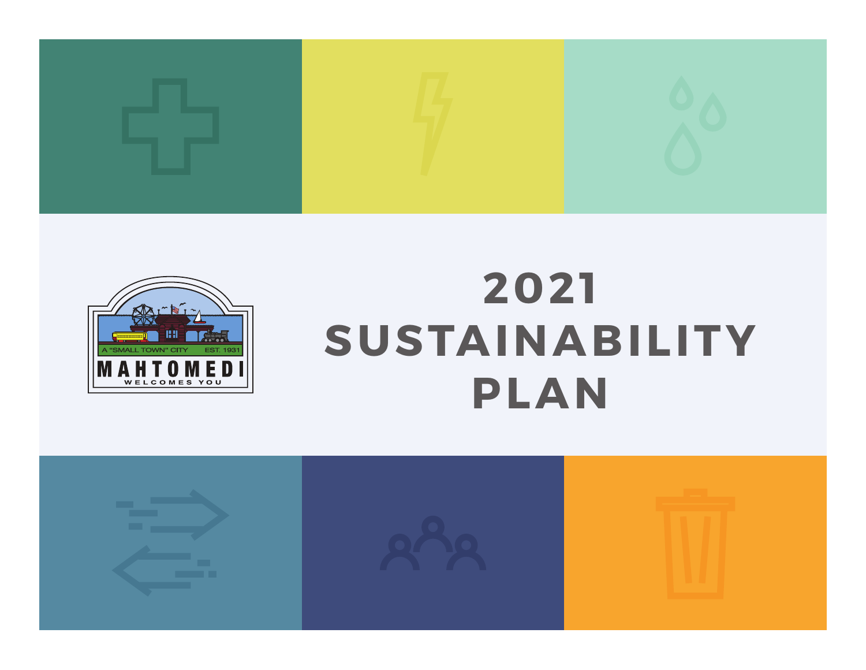



# **2021 SUSTAINABILITY PLAN**

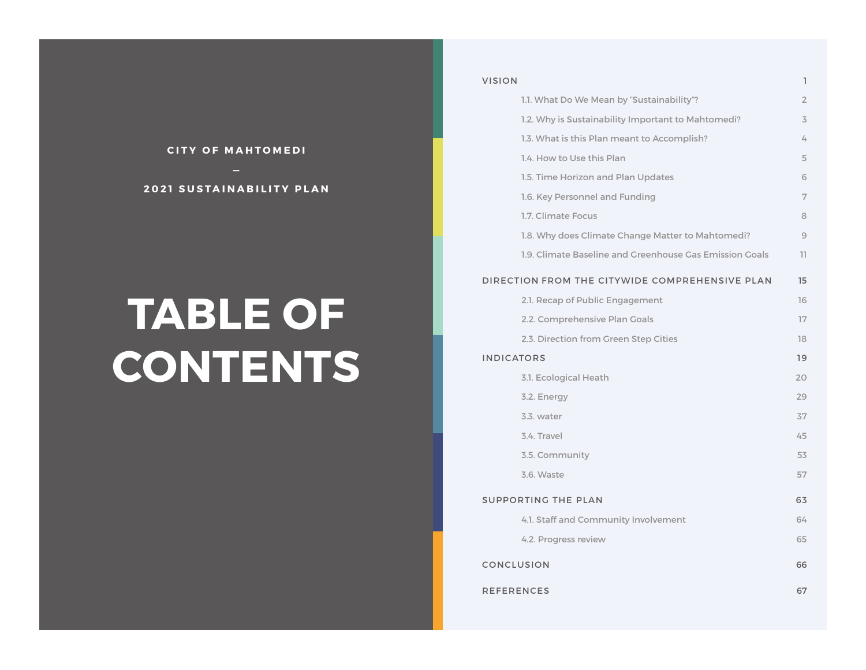#### **CITY OF MAHTOMEDI**

#### **2021 SUSTAINABILITY PLAN**

# **TABLE OF CONTENTS**

| <b>VISION</b>                                           | $\mathbb{I}$   |  |
|---------------------------------------------------------|----------------|--|
| 1.1. What Do We Mean by "Sustainability"?               | $\overline{2}$ |  |
| 1.2. Why is Sustainability Important to Mahtomedi?      | 3              |  |
| 1.3. What is this Plan meant to Accomplish?             | 4              |  |
| 1.4. How to Use this Plan                               | 5              |  |
| 1.5. Time Horizon and Plan Updates                      | 6              |  |
| 1.6. Key Personnel and Funding                          | 7              |  |
| 1.7. Climate Focus                                      | 8              |  |
| 1.8. Why does Climate Change Matter to Mahtomedi?       | 9              |  |
| 1.9. Climate Baseline and Greenhouse Gas Emission Goals | 11             |  |
| DIRECTION FROM THE CITYWIDE COMPREHENSIVE PLAN<br>15    |                |  |
| 2.1. Recap of Public Engagement                         | 16             |  |
| 2.2. Comprehensive Plan Goals                           | 17             |  |
| 2.3. Direction from Green Step Cities                   | 18             |  |
| <b>INDICATORS</b>                                       |                |  |
| 3.1. Ecological Heath                                   | 20             |  |
| 3.2. Energy                                             | 29             |  |
| 3.3. water                                              | 37             |  |
| 3.4. Travel                                             | 45             |  |
| 3.5. Community                                          | 53             |  |
| 3.6. Waste                                              | 57             |  |
| SUPPORTING THE PLAN                                     |                |  |
| 4.1. Staff and Community Involvement                    | 64             |  |
| 4.2. Progress review                                    | 65             |  |
| CONCLUSION                                              |                |  |
| <b>REFERENCES</b>                                       |                |  |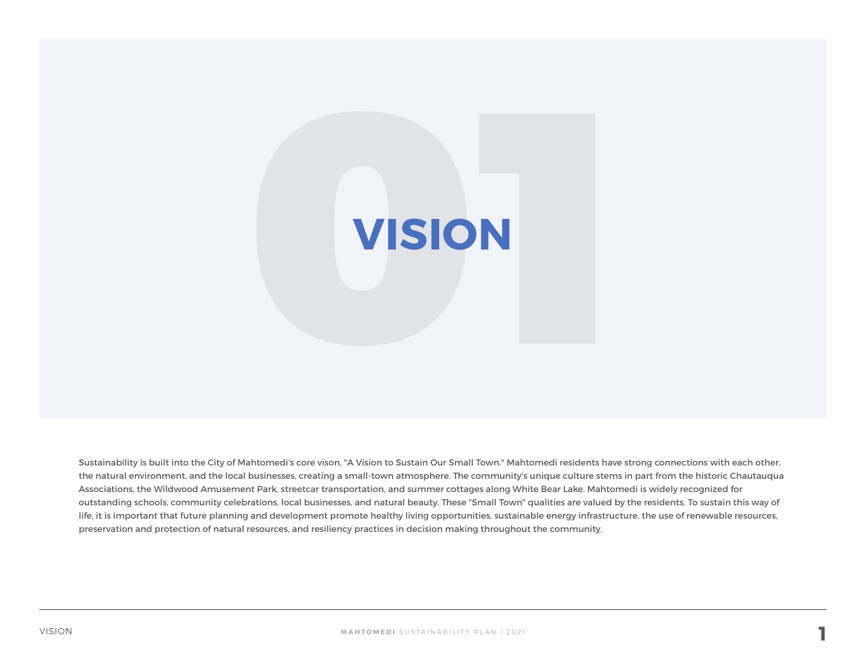

**VISION**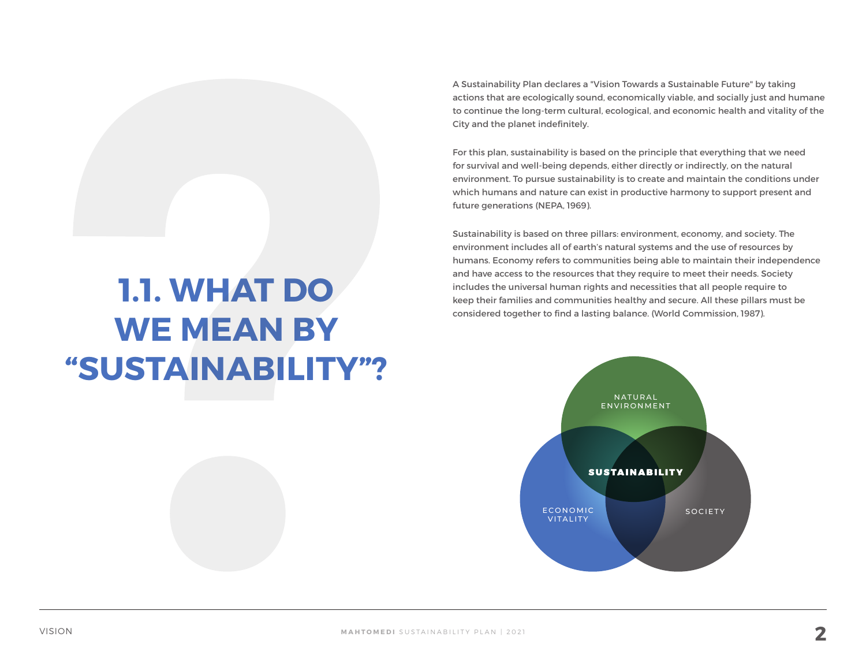A Sustainability Plan declares a "Vision Towards a Sustainable Future" by taking actions that are ecologically sound, economically viable, and socially just and humane to continue the long-term cultural, ecological, and economic health and vitality of the City and the planet indefinitely.

For this plan, sustainability is based on the principle that everything that we need for survival and well-being depends, either directly or indirectly, on the natural environment. To pursue sustainability is to create and maintain the conditions under which humans and nature can exist in productive harmony to support present and future generations (NEPA, 1969).

Sustainability is based on three pillars: environment, economy, and society. The environment includes all of earth's natural systems and the use of resources by humans. Economy refers to communities being able to maintain their independence and have access to the resources that they require to meet their needs. Society includes the universal human rights and necessities that all people require to keep their families and communities healthy and secure. All these pillars must be considered together to find a lasting balance. (World Commission, 1987).



## **1.1. WHAT DO WE MEAN BY "SUSTAINABILITY"?**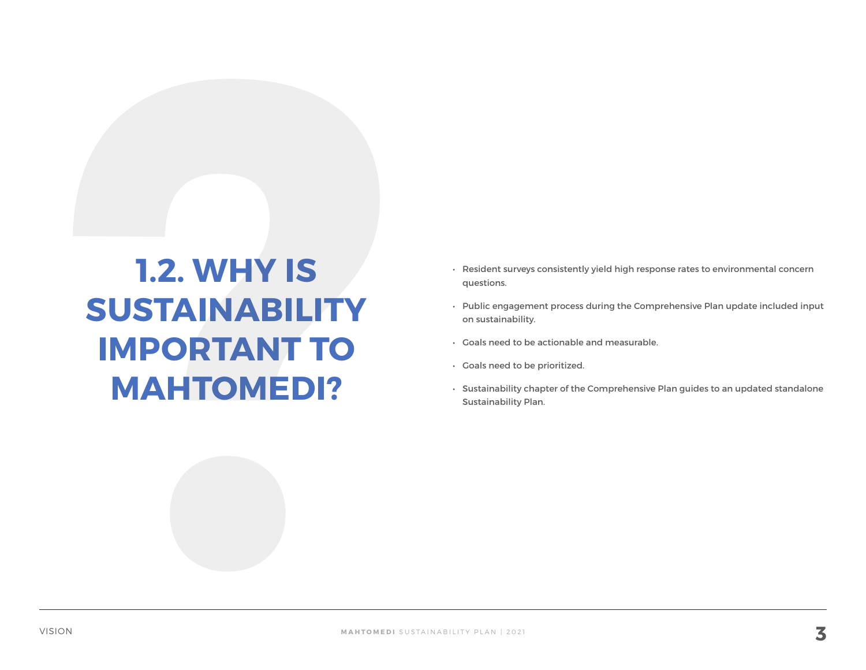## **1.2. WHY IS SUSTAINABILITY IMPORTANT TO MAHTOMEDI?**

- Resident surveys consistently yield high response rates to environmental concern questions.
- Public engagement process during the Comprehensive Plan update included input on sustainability.
- Goals need to be actionable and measurable.
- Goals need to be prioritized.
- Sustainability chapter of the Comprehensive Plan guides to an updated standalone Sustainability Plan.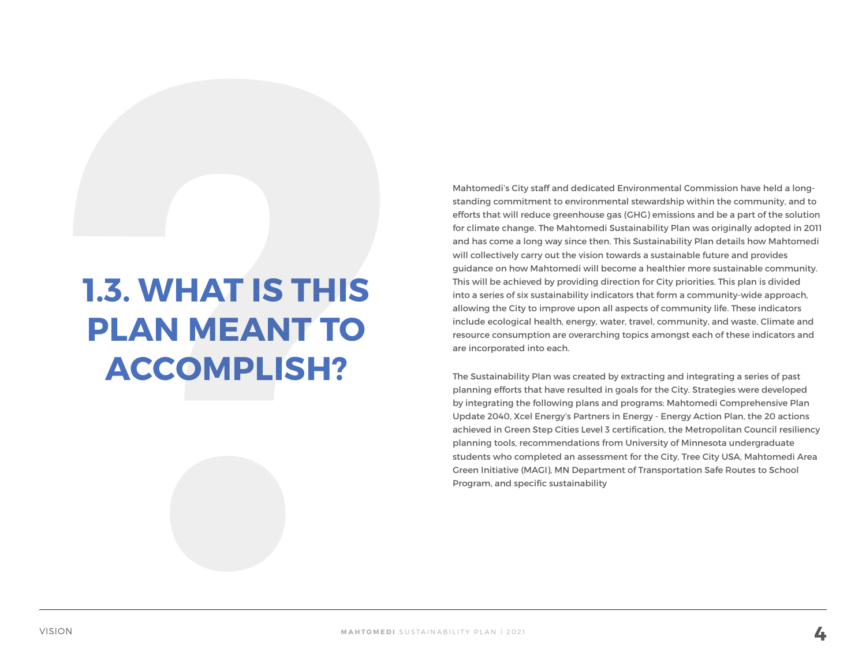## **1.3. WHAT IS THIS PLAN MEANT TO ACCOMPLISH?**

Mahtomedi's City staff and dedicated Environmental Commission have held a longstanding commitment to environmental stewardship within the community, and to efforts that will reduce greenhouse gas (GHG) emissions and be a part of the solution for climate change. The Mahtomedi Sustainability Plan was originally adopted in 2011 and has come a long way since then. This Sustainability Plan details how Mahtomedi will collectively carry out the vision towards a sustainable future and provides guidance on how Mahtomedi will become a healthier more sustainable community. This will be achieved by providing direction for City priorities. This plan is divided into a series of six sustainability indicators that form a community-wide approach, allowing the City to improve upon all aspects of community life. These indicators include ecological health, energy, water, travel, community, and waste. Climate and resource consumption are overarching topics amongst each of these indicators and are incorporated into each.

The Sustainability Plan was created by extracting and integrating a series of past planning efforts that have resulted in goals for the City. Strategies were developed by integrating the following plans and programs: Mahtomedi Comprehensive Plan Update 2040, Xcel Energy's Partners in Energy - Energy Action Plan, the 20 actions achieved in Green Step Cities Level 3 certification, the Metropolitan Council resiliency planning tools, recommendations from University of Minnesota undergraduate students who completed an assessment for the City, Tree City USA, Mahtomedi Area Green Initiative (MAGI), MN Department of Transportation Safe Routes to School Program, and specific sustainability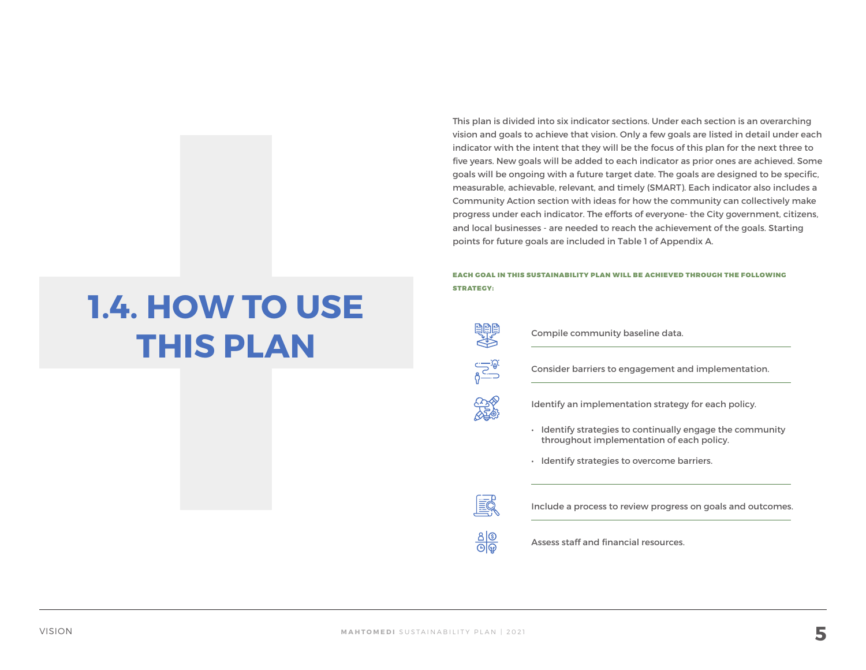This plan is divided into six indicator sections. Under each section is an overarching vision and goals to achieve that vision. Only a few goals are listed in detail under each indicator with the intent that they will be the focus of this plan for the next three to five years. New goals will be added to each indicator as prior ones are achieved. Some goals will be ongoing with a future target date. The goals are designed to be specific, measurable, achievable, relevant, and timely (SMART). Each indicator also includes a Community Action section with ideas for how the community can collectively make progress under each indicator. The efforts of everyone- the City government, citizens, and local businesses - are needed to reach the achievement of the goals. Starting points for future goals are included in Table 1 of Appendix A.

EACH GOAL IN THIS SUSTAINABILITY PLAN WILL BE ACHIEVED THROUGH THE FOLLOWING STRATEGY:



 $\sqrt{\frac{1}{2} \cdot \frac{1}{2}}$ 

**CORNER** 

Compile community baseline data.

Consider barriers to engagement and implementation.

Identify an implementation strategy for each policy.

- Identify strategies to continually engage the community throughout implementation of each policy.
- Identify strategies to overcome barriers.

EQ

 $rac{a}{\Theta}$ 

Include a process to review progress on goals and outcomes.

Assess staff and financial resources.

## **1.4. HOW TO USE THIS PLAN**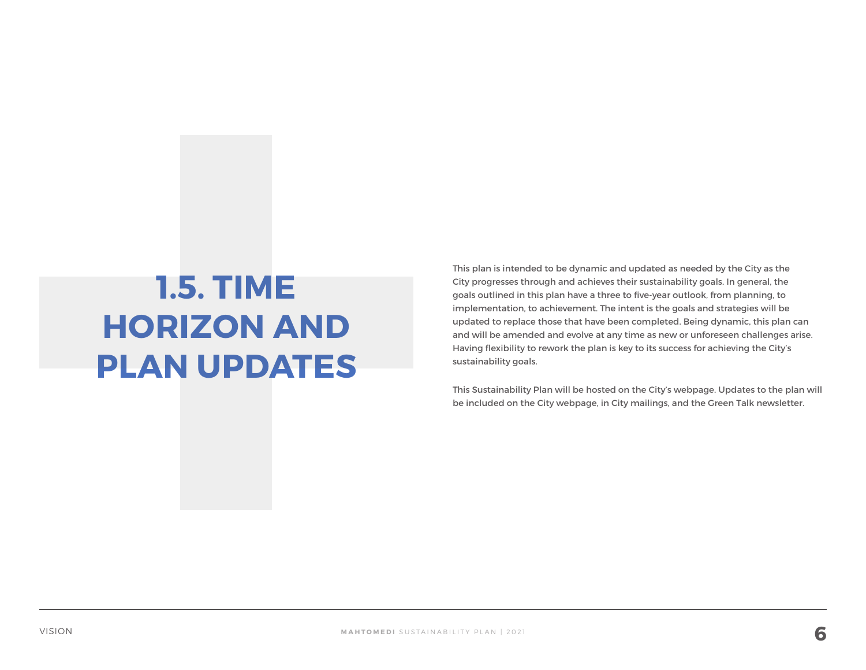## **1.5. TIME HORIZON AND PLAN UPDATES**

This plan is intended to be dynamic and updated as needed by the City as the City progresses through and achieves their sustainability goals. In general, the goals outlined in this plan have a three to five-year outlook, from planning, to implementation, to achievement. The intent is the goals and strategies will be updated to replace those that have been completed. Being dynamic, this plan can and will be amended and evolve at any time as new or unforeseen challenges arise. Having flexibility to rework the plan is key to its success for achieving the City's sustainability goals.

This Sustainability Plan will be hosted on the City's webpage. Updates to the plan will be included on the City webpage, in City mailings, and the Green Talk newsletter.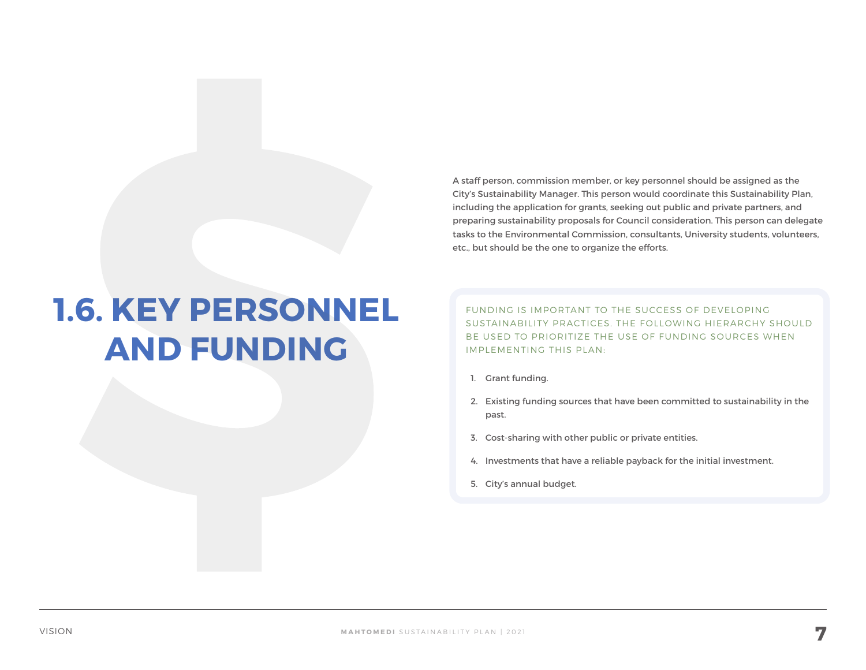A staff person, commission member, or key personnel should be assigned as the City's Sustainability Manager. This person would coordinate this Sustainability Plan, including the application for grants, seeking out public and private partners, and preparing sustainability proposals for Council consideration. This person can delegate tasks to the Environmental Commission, consultants, University students, volunteers, etc., but should be the one to organize the efforts.

## **1.6. KEY PERSONNEL AND FUNDING**

FUNDING IS IMPORTANT TO THE SUCCESS OF DEVELOPING SUSTAINABILITY PRACTICES. THE FOLLOWING HIERARCHY SHOULD BE USED TO PRIORITIZE THE USE OF FUNDING SOURCES WHEN IMPLEMENTING THIS PLAN:

- 1. Grant funding.
- 2. Existing funding sources that have been committed to sustainability in the past.
- 3. Cost-sharing with other public or private entities.
- 4. Investments that have a reliable payback for the initial investment.
- 5. City's annual budget.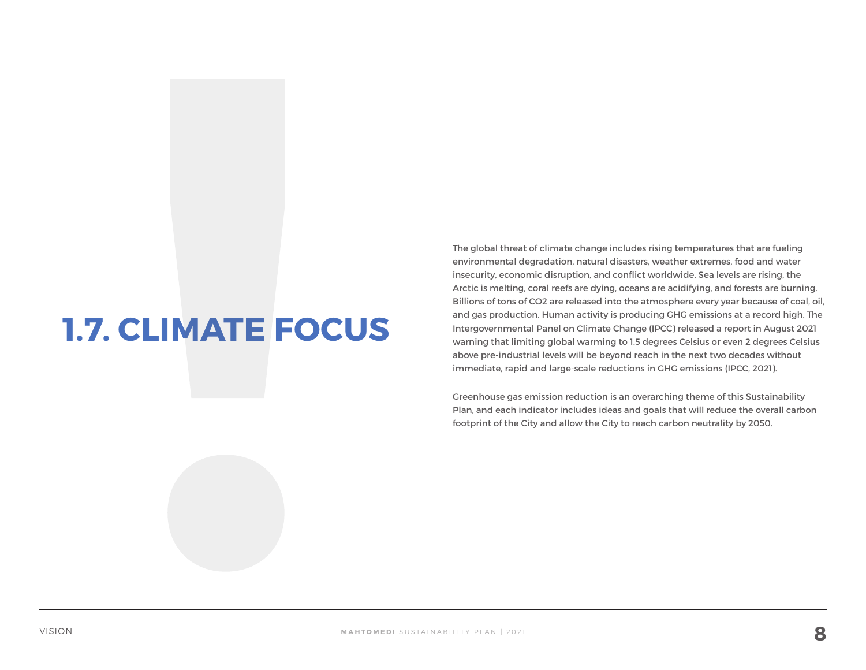## **1.7. CLIMATE FOCUS**

The global threat of climate change includes rising temperatures that are fueling environmental degradation, natural disasters, weather extremes, food and water insecurity, economic disruption, and conflict worldwide. Sea levels are rising, the Arctic is melting, coral reefs are dying, oceans are acidifying, and forests are burning. Billions of tons of CO2 are released into the atmosphere every year because of coal, oil, and gas production. Human activity is producing GHG emissions at a record high. The Intergovernmental Panel on Climate Change (IPCC) released a report in August 2021 warning that limiting global warming to 1.5 degrees Celsius or even 2 degrees Celsius above pre-industrial levels will be beyond reach in the next two decades without immediate, rapid and large-scale reductions in GHG emissions (IPCC, 2021).

Greenhouse gas emission reduction is an overarching theme of this Sustainability Plan, and each indicator includes ideas and goals that will reduce the overall carbon footprint of the City and allow the City to reach carbon neutrality by 2050.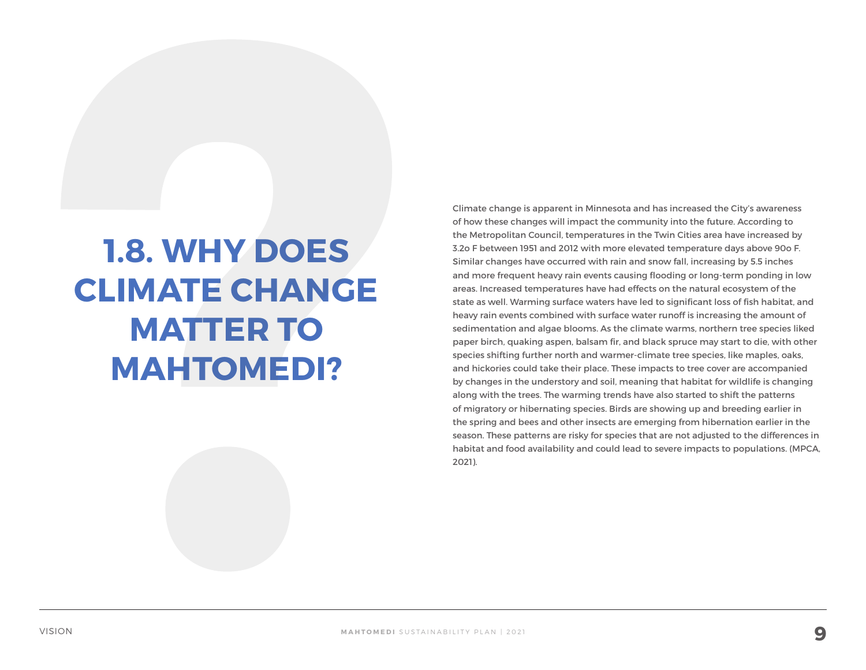## **1.8. WHY DOES CLIMATE CHANGE MATTER TO MAHTOMEDI?**

Climate change is apparent in Minnesota and has increased the City's awareness of how these changes will impact the community into the future. According to the Metropolitan Council, temperatures in the Twin Cities area have increased by 3.2o F between 1951 and 2012 with more elevated temperature days above 90o F. Similar changes have occurred with rain and snow fall, increasing by 5.5 inches and more frequent heavy rain events causing flooding or long-term ponding in low areas. Increased temperatures have had effects on the natural ecosystem of the state as well. Warming surface waters have led to significant loss of fish habitat, and heavy rain events combined with surface water runoff is increasing the amount of sedimentation and algae blooms. As the climate warms, northern tree species liked paper birch, quaking aspen, balsam fir, and black spruce may start to die, with other species shifting further north and warmer-climate tree species, like maples, oaks, and hickories could take their place. These impacts to tree cover are accompanied by changes in the understory and soil, meaning that habitat for wildlife is changing along with the trees. The warming trends have also started to shift the patterns of migratory or hibernating species. Birds are showing up and breeding earlier in the spring and bees and other insects are emerging from hibernation earlier in the season. These patterns are risky for species that are not adjusted to the differences in habitat and food availability and could lead to severe impacts to populations. (MPCA, 2021).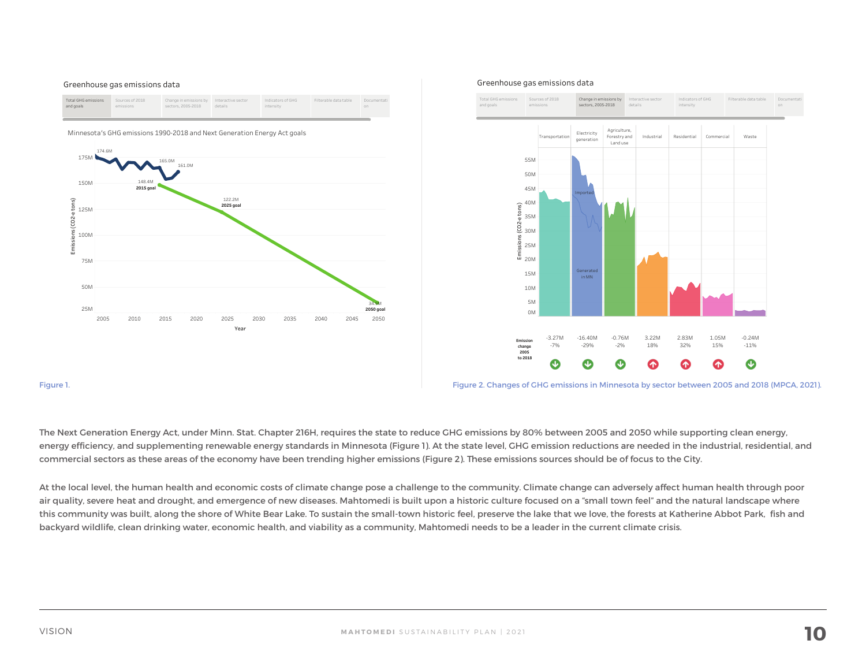

#### Greenhouse gas emissions data



The Next Generation Energy Act, under Minn. Stat. Chapter 216H, requires the state to reduce GHG emissions by 80% between 2005 and 2050 while supporting clean energy, energy efficiency, and supplementing renewable energy standards in Minnesota (Figure 1). At the state level, GHG emission reductions are needed in the industrial, residential, and commercial sectors as these areas of the economy have been trending higher emissions (Figure 2). These emissions sources should be of focus to the City.

At the local level, the human health and economic costs of climate change pose a challenge to the community. Climate change can adversely affect human health through poor air quality, severe heat and drought, and emergence of new diseases. Mahtomedi is built upon a historic culture focused on a "small town feel" and the natural landscape where this community was built, along the shore of White Bear Lake. To sustain the small-town historic feel, preserve the lake that we love, the forests at Katherine Abbot Park, fish and backyard wildlife, clean drinking water, economic health, and viability as a community, Mahtomedi needs to be a leader in the current climate crisis.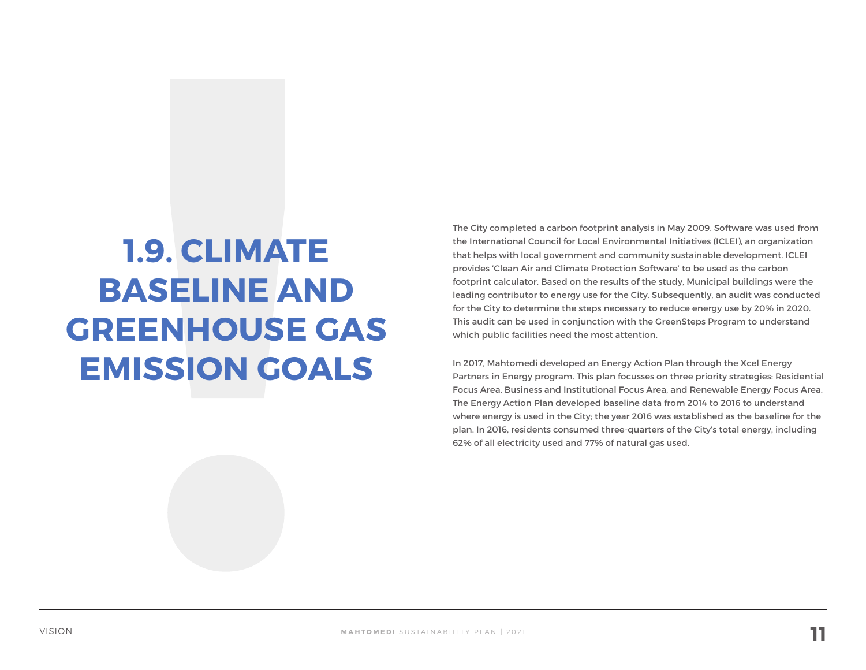## **1.9. CLIMATE BASELINE AND GREENHOUSE GAS EMISSION GOALS**

The City completed a carbon footprint analysis in May 2009. Software was used from the International Council for Local Environmental Initiatives (ICLEI), an organization that helps with local government and community sustainable development. ICLEI provides 'Clean Air and Climate Protection Software' to be used as the carbon footprint calculator. Based on the results of the study, Municipal buildings were the leading contributor to energy use for the City. Subsequently, an audit was conducted for the City to determine the steps necessary to reduce energy use by 20% in 2020. This audit can be used in conjunction with the GreenSteps Program to understand which public facilities need the most attention.

In 2017, Mahtomedi developed an Energy Action Plan through the Xcel Energy Partners in Energy program. This plan focusses on three priority strategies: Residential Focus Area, Business and Institutional Focus Area, and Renewable Energy Focus Area. The Energy Action Plan developed baseline data from 2014 to 2016 to understand where energy is used in the City; the year 2016 was established as the baseline for the plan. In 2016, residents consumed three-quarters of the City's total energy, including 62% of all electricity used and 77% of natural gas used.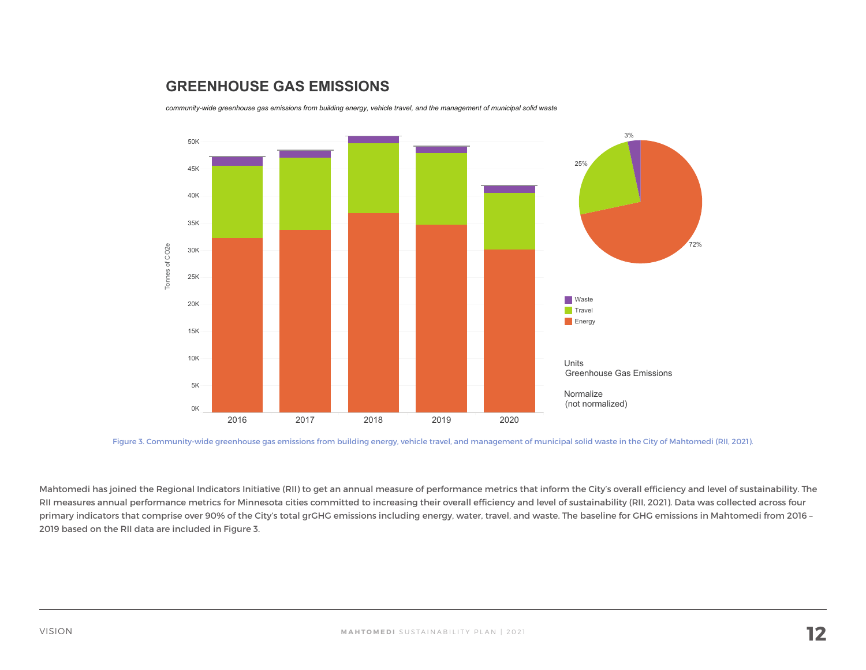### **GREENHOUSE GAS EMISSIONS**

community-wide greenhouse gas emissions from building energy, vehicle travel, and the management of municipal solid waste



Figure 3. Community-wide greenhouse gas emissions from building energy, vehicle travel, and management of municipal solid waste in the City of Mahtomedi (RII, 2021).

Mahtomedi has joined the Regional Indicators Initiative (RII) to get an annual measure of performance metrics that inform the City's overall efficiency and level of sustainability. The RII measures annual performance metrics for Minnesota cities committed to increasing their overall efficiency and level of sustainability (RII, 2021). Data was collected across four primary indicators that comprise over 90% of the City's total grGHG emissions including energy, water, travel, and waste. The baseline for GHG emissions in Mahtomedi from 2016 – 2019 based on the RII data are included in Figure 3.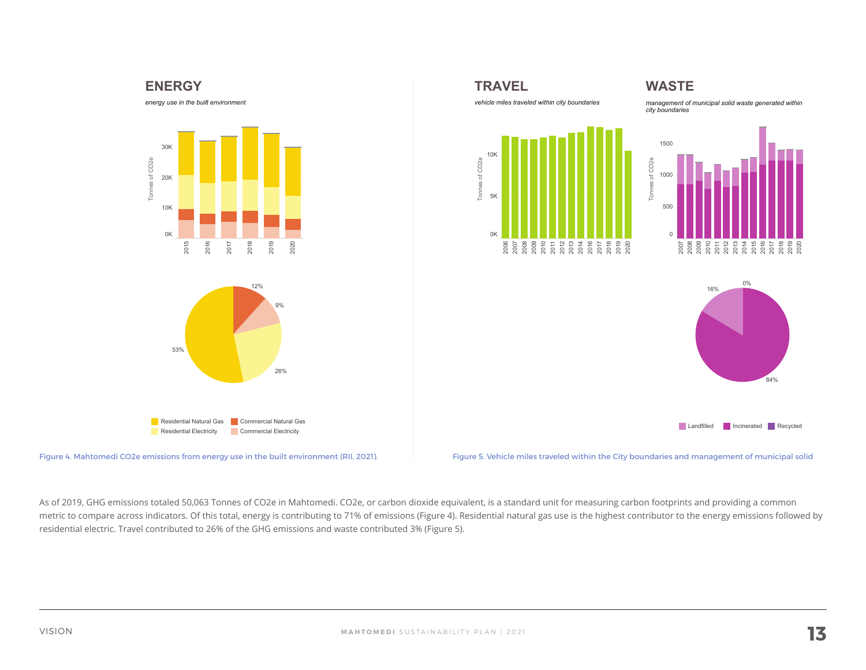





As of 2019, GHG emissions totaled 50,063 Tonnes of CO2e in Mahtomedi. CO2e, or carbon dioxide equivalent, is a standard unit for measuring carbon footprints and providing a common metric to compare across indicators. Of this total, energy is contributing to 71% of emissions (Figure 4). Residential natural gas use is the highest contributor to the energy emissions followed by residential electric. Travel contributed to 26% of the GHG emissions and waste contributed 3% (Figure 5).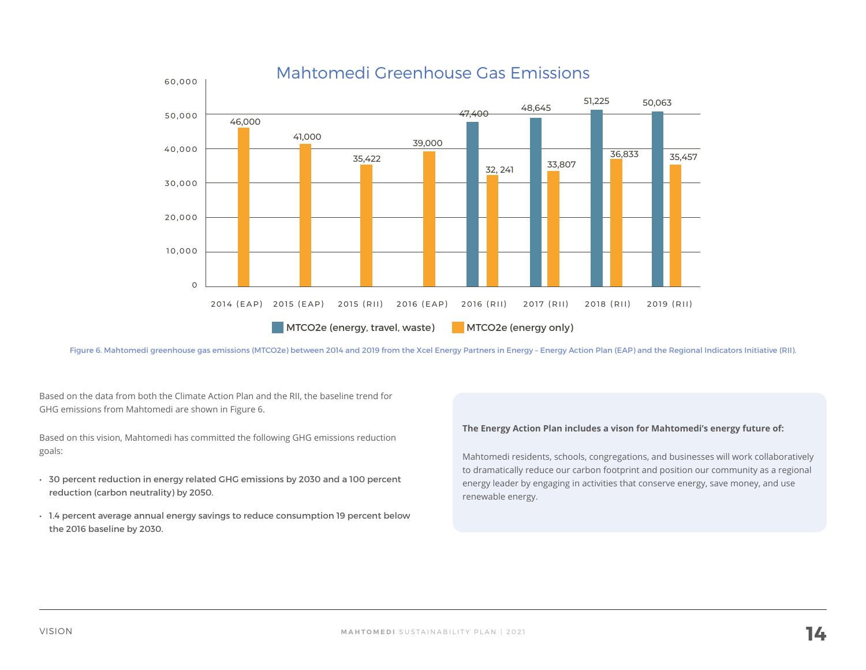

Figure 6. Mahtomedi greenhouse gas emissions (MTCO2e) between 2014 and 2019 from the Xcel Energy Partners in Energy – Energy Action Plan (EAP) and the Regional Indicators Initiative (RII).

Based on the data from both the Climate Action Plan and the RII, the baseline trend for GHG emissions from Mahtomedi are shown in Figure 6.

Based on this vision, Mahtomedi has committed the following GHG emissions reduction goals:

- 30 percent reduction in energy related GHG emissions by 2030 and a 100 percent reduction (carbon neutrality) by 2050.
- 1.4 percent average annual energy savings to reduce consumption 19 percent below the 2016 baseline by 2030.

#### **The Energy Action Plan includes a vison for Mahtomedi's energy future of:**

Mahtomedi residents, schools, congregations, and businesses will work collaboratively to dramatically reduce our carbon footprint and position our community as a regional energy leader by engaging in activities that conserve energy, save money, and use renewable energy.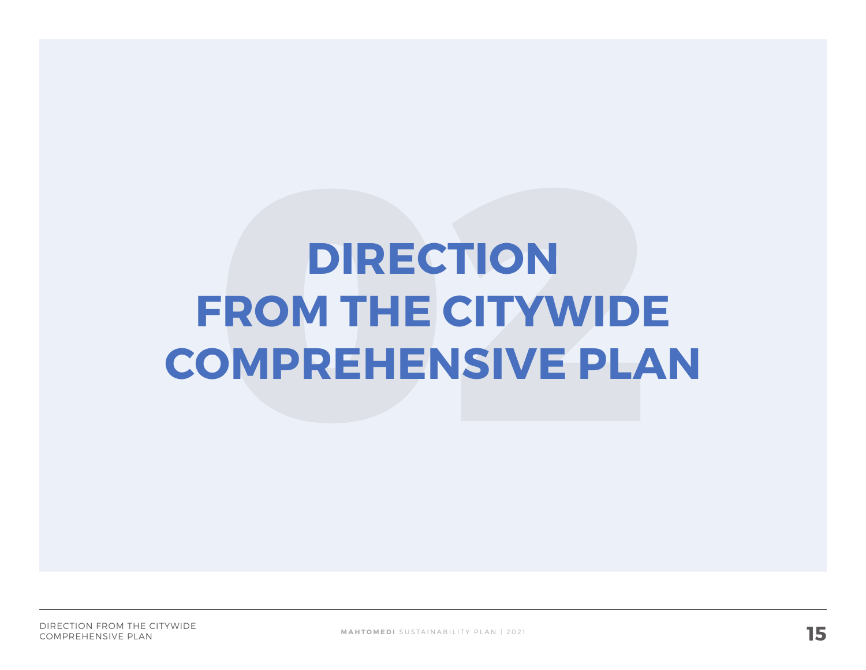# **DIRECTION FROM THE CITYWIDE COMPREHENSIVE PLAN**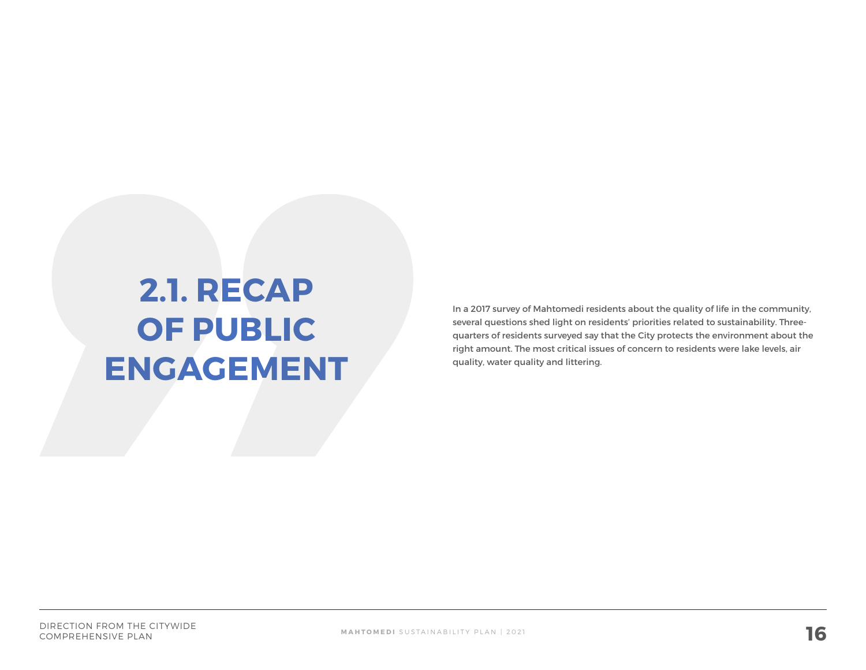## **2.1. RECAP OF PUBLIC ENGAGEMENT**

In a 2017 survey of Mahtomedi residents about the quality of life in the community, several questions shed light on residents' priorities related to sustainability. Threequarters of residents surveyed say that the City protects the environment about the right amount. The most critical issues of concern to residents were lake levels, air quality, water quality and littering.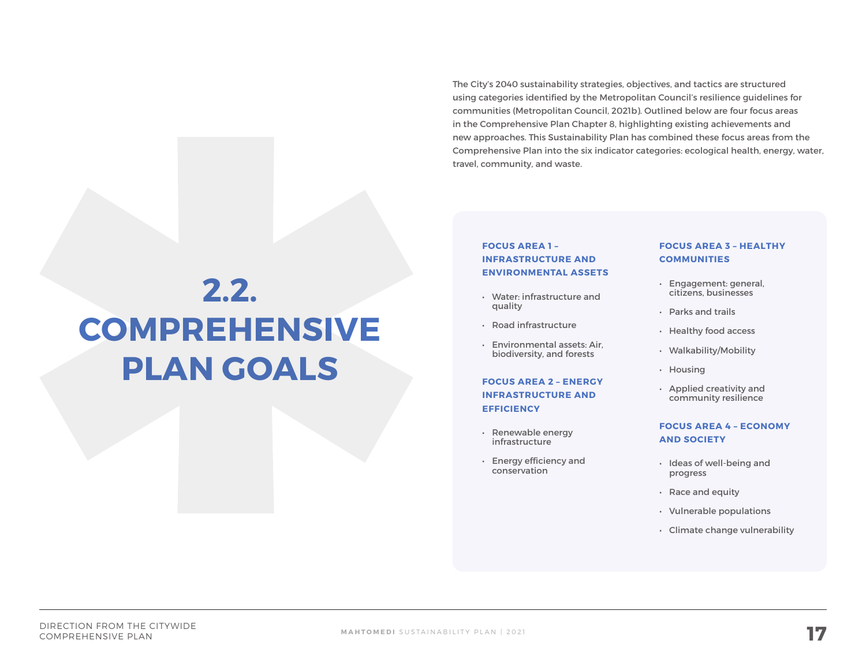The City's 2040 sustainability strategies, objectives, and tactics are structured using categories identified by the Metropolitan Council's resilience guidelines for communities (Metropolitan Council, 2021b). Outlined below are four focus areas in the Comprehensive Plan Chapter 8, highlighting existing achievements and new approaches. This Sustainability Plan has combined these focus areas from the Comprehensive Plan into the six indicator categories: ecological health, energy, water, travel, community, and waste.

## **2.2. COMPREHENSIVE PLAN GOALS**

#### **FOCUS AREA 1 – INFRASTRUCTURE AND ENVIRONMENTAL ASSETS**

- Water: infrastructure and quality
- Road infrastructure
- Environmental assets: Air, biodiversity, and forests

#### **FOCUS AREA 2 – ENERGY INFRASTRUCTURE AND EFFICIENCY**

- Renewable energy infrastructure
- Energy efficiency and conservation

#### **FOCUS AREA 3 – HEALTHY COMMUNITIES**

- Engagement: general, citizens, businesses
- Parks and trails
- Healthy food access
- Walkability/Mobility
- Housing
- Applied creativity and community resilience

#### **FOCUS AREA 4 – ECONOMY AND SOCIETY**

- Ideas of well-being and progress
- Race and equity
- Vulnerable populations
- Climate change vulnerability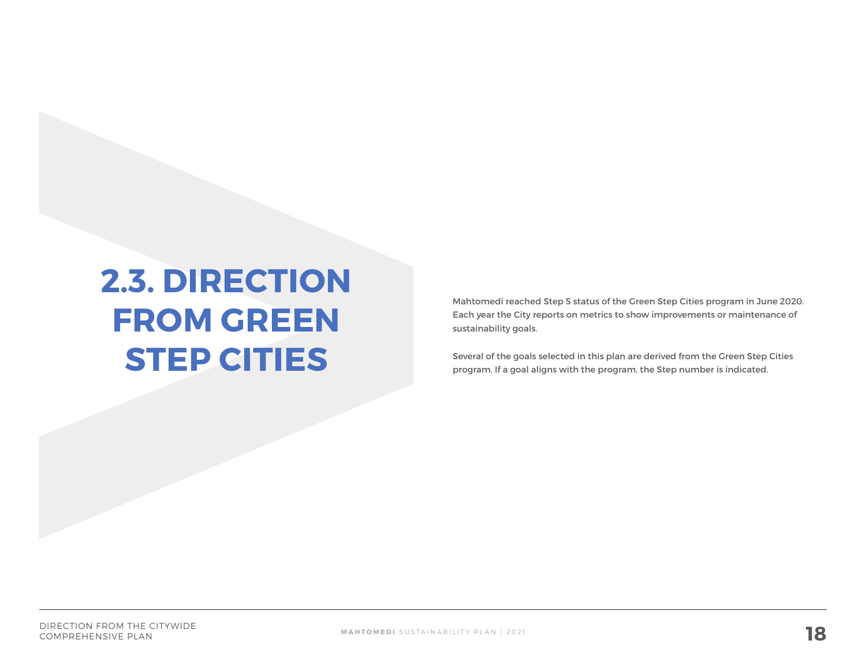## **2.3. DIRECTION FROM GREEN STEP CITIES**

Mahtomedi reached Step 5 status of the Green Step Cities program in June 2020. Each year the City reports on metrics to show improvements or maintenance of sustainability goals.

Several of the goals selected in this plan are derived from the Green Step Cities program. If a goal aligns with the program, the Step number is indicated.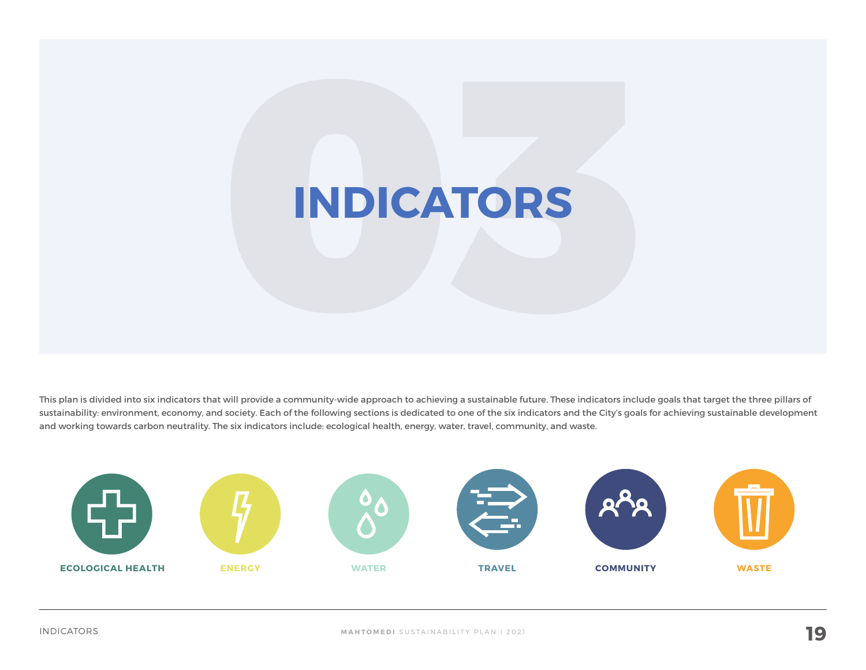# **INDICATORS**

This plan is divided into six indicators that will provide a community-wide approach to achieving a sustainable future. These indicators include goals that target the three pillars of sustainability: environment, economy, and society. Each of the following sections is dedicated to one of the six indicators and the City's goals for achieving sustainable development and working towards carbon neutrality. The six indicators include: ecological health, energy, water, travel, community, and waste.

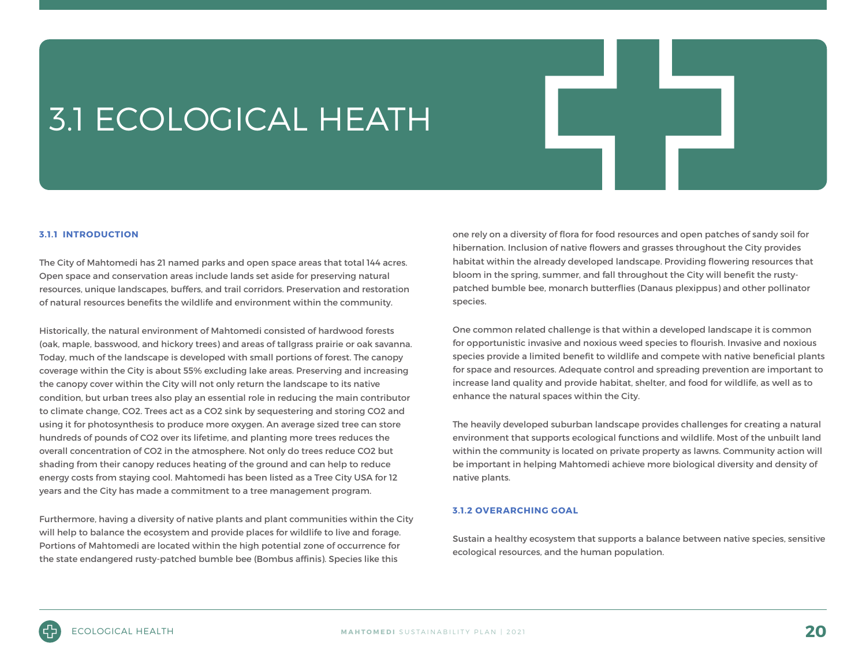## 3.1 ECOLOGICAL HEATH

#### **3.1.1 INTRODUCTION**

The City of Mahtomedi has 21 named parks and open space areas that total 144 acres. Open space and conservation areas include lands set aside for preserving natural resources, unique landscapes, buffers, and trail corridors. Preservation and restoration of natural resources benefits the wildlife and environment within the community.

Historically, the natural environment of Mahtomedi consisted of hardwood forests (oak, maple, basswood, and hickory trees) and areas of tallgrass prairie or oak savanna. Today, much of the landscape is developed with small portions of forest. The canopy coverage within the City is about 55% excluding lake areas. Preserving and increasing the canopy cover within the City will not only return the landscape to its native condition, but urban trees also play an essential role in reducing the main contributor to climate change, CO2. Trees act as a CO2 sink by sequestering and storing CO2 and using it for photosynthesis to produce more oxygen. An average sized tree can store hundreds of pounds of CO2 over its lifetime, and planting more trees reduces the overall concentration of CO2 in the atmosphere. Not only do trees reduce CO2 but shading from their canopy reduces heating of the ground and can help to reduce energy costs from staying cool. Mahtomedi has been listed as a Tree City USA for 12 years and the City has made a commitment to a tree management program.

Furthermore, having a diversity of native plants and plant communities within the City will help to balance the ecosystem and provide places for wildlife to live and forage. Portions of Mahtomedi are located within the high potential zone of occurrence for the state endangered rusty-patched bumble bee (Bombus affinis). Species like this

one rely on a diversity of flora for food resources and open patches of sandy soil for hibernation. Inclusion of native flowers and grasses throughout the City provides habitat within the already developed landscape. Providing flowering resources that bloom in the spring, summer, and fall throughout the City will benefit the rustypatched bumble bee, monarch butterflies (Danaus plexippus) and other pollinator species.

One common related challenge is that within a developed landscape it is common for opportunistic invasive and noxious weed species to flourish. Invasive and noxious species provide a limited benefit to wildlife and compete with native beneficial plants for space and resources. Adequate control and spreading prevention are important to increase land quality and provide habitat, shelter, and food for wildlife, as well as to enhance the natural spaces within the City.

The heavily developed suburban landscape provides challenges for creating a natural environment that supports ecological functions and wildlife. Most of the unbuilt land within the community is located on private property as lawns. Community action will be important in helping Mahtomedi achieve more biological diversity and density of native plants.

#### **3.1.2 OVERARCHING GOAL**

Sustain a healthy ecosystem that supports a balance between native species, sensitive ecological resources, and the human population.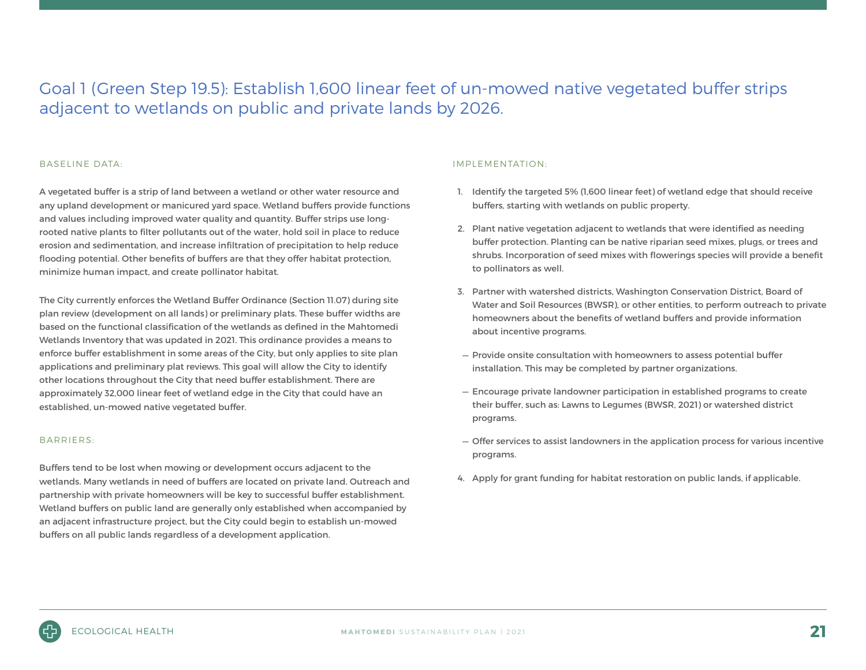### Goal 1 (Green Step 19.5): Establish 1,600 linear feet of un-mowed native vegetated buffer strips adjacent to wetlands on public and private lands by 2026.

#### BASELINE DATA:

A vegetated buffer is a strip of land between a wetland or other water resource and any upland development or manicured yard space. Wetland buffers provide functions and values including improved water quality and quantity. Buffer strips use longrooted native plants to filter pollutants out of the water, hold soil in place to reduce erosion and sedimentation, and increase infiltration of precipitation to help reduce flooding potential. Other benefits of buffers are that they offer habitat protection, minimize human impact, and create pollinator habitat.

The City currently enforces the Wetland Buffer Ordinance (Section 11.07) during site plan review (development on all lands) or preliminary plats. These buffer widths are based on the functional classification of the wetlands as defined in the Mahtomedi Wetlands Inventory that was updated in 2021. This ordinance provides a means to enforce buffer establishment in some areas of the City, but only applies to site plan applications and preliminary plat reviews. This goal will allow the City to identify other locations throughout the City that need buffer establishment. There are approximately 32,000 linear feet of wetland edge in the City that could have an established, un-mowed native vegetated buffer.

#### BARRIERS:

Buffers tend to be lost when mowing or development occurs adjacent to the wetlands. Many wetlands in need of buffers are located on private land. Outreach and partnership with private homeowners will be key to successful buffer establishment. Wetland buffers on public land are generally only established when accompanied by an adjacent infrastructure project, but the City could begin to establish un-mowed buffers on all public lands regardless of a development application.

#### IMPLEMENTATION:

- 1. Identify the targeted 5% (1,600 linear feet) of wetland edge that should receive buffers, starting with wetlands on public property.
- 2. Plant native vegetation adjacent to wetlands that were identified as needing buffer protection. Planting can be native riparian seed mixes, plugs, or trees and shrubs. Incorporation of seed mixes with flowerings species will provide a benefit to pollinators as well.
- 3. Partner with watershed districts, Washington Conservation District, Board of Water and Soil Resources (BWSR), or other entities, to perform outreach to private homeowners about the benefits of wetland buffers and provide information about incentive programs.
- Provide onsite consultation with homeowners to assess potential buffer installation. This may be completed by partner organizations.
- Encourage private landowner participation in established programs to create their buffer, such as: Lawns to Legumes (BWSR, 2021) or watershed district programs.
- Offer services to assist landowners in the application process for various incentive programs.
- 4. Apply for grant funding for habitat restoration on public lands, if applicable.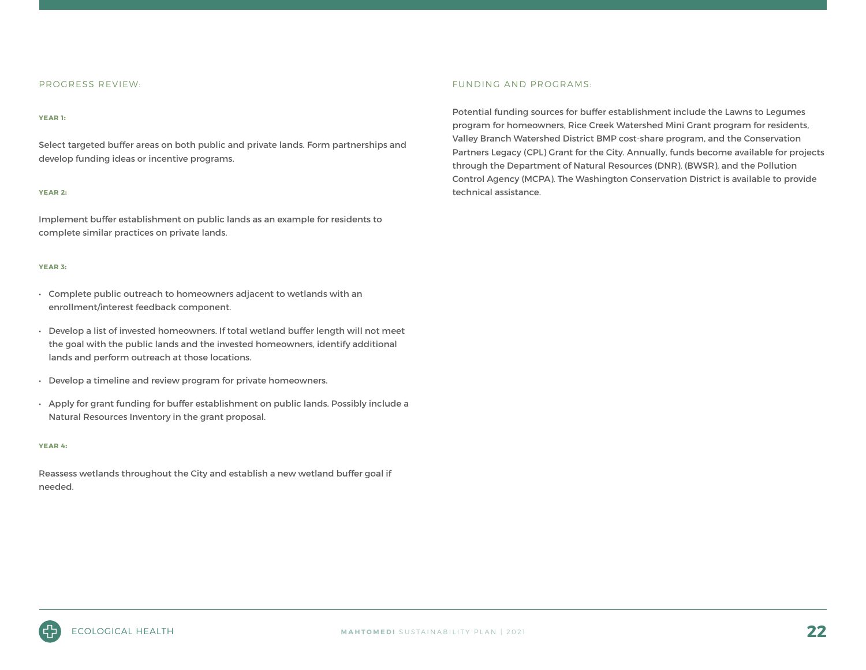#### PROGRESS REVIEW:

#### **YEAR 1**:

Select targeted buffer areas on both public and private lands. Form partnerships and develop funding ideas or incentive programs.

#### **YEAR 2**:

Implement buffer establishment on public lands as an example for residents to complete similar practices on private lands.

#### **YEAR 3**:

- Complete public outreach to homeowners adjacent to wetlands with an enrollment/interest feedback component.
- Develop a list of invested homeowners. If total wetland buffer length will not meet the goal with the public lands and the invested homeowners, identify additional lands and perform outreach at those locations.
- Develop a timeline and review program for private homeowners.
- Apply for grant funding for buffer establishment on public lands. Possibly include a Natural Resources Inventory in the grant proposal.

#### **YEAR 4**:

Reassess wetlands throughout the City and establish a new wetland buffer goal if needed.

#### FUNDING AND PROGRAMS:

Potential funding sources for buffer establishment include the Lawns to Legumes program for homeowners, Rice Creek Watershed Mini Grant program for residents, Valley Branch Watershed District BMP cost-share program, and the Conservation Partners Legacy (CPL) Grant for the City. Annually, funds become available for projects through the Department of Natural Resources (DNR), (BWSR), and the Pollution Control Agency (MCPA). The Washington Conservation District is available to provide technical assistance.

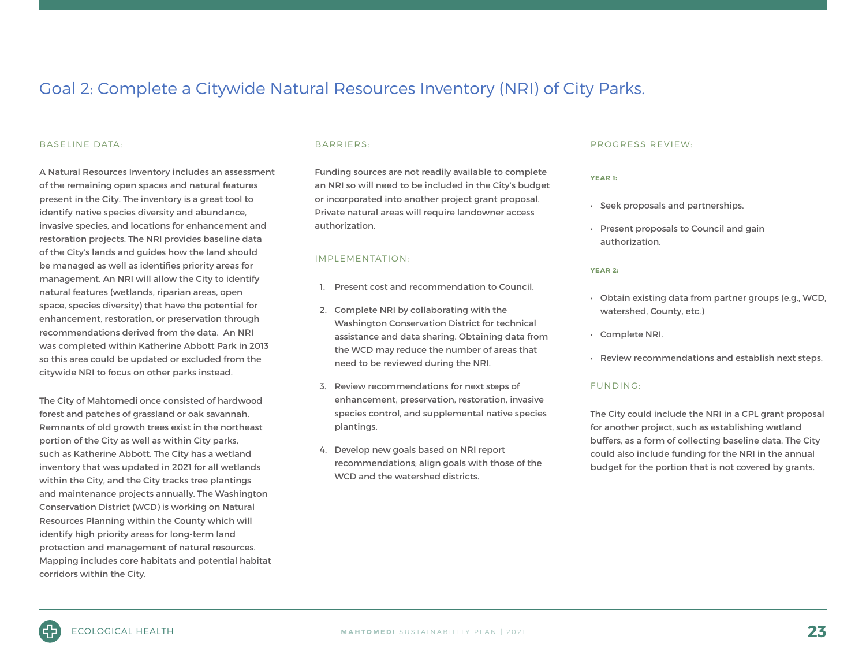### Goal 2: Complete a Citywide Natural Resources Inventory (NRI) of City Parks.

#### BASELINE DATA:

A Natural Resources Inventory includes an assessment of the remaining open spaces and natural features present in the City. The inventory is a great tool to identify native species diversity and abundance, invasive species, and locations for enhancement and restoration projects. The NRI provides baseline data of the City's lands and guides how the land should be managed as well as identifies priority areas for management. An NRI will allow the City to identify natural features (wetlands, riparian areas, open space, species diversity) that have the potential for enhancement, restoration, or preservation through recommendations derived from the data. An NRI was completed within Katherine Abbott Park in 2013 so this area could be updated or excluded from the citywide NRI to focus on other parks instead.

The City of Mahtomedi once consisted of hardwood forest and patches of grassland or oak savannah. Remnants of old growth trees exist in the northeast portion of the City as well as within City parks, such as Katherine Abbott. The City has a wetland inventory that was updated in 2021 for all wetlands within the City, and the City tracks tree plantings and maintenance projects annually. The Washington Conservation District (WCD) is working on Natural Resources Planning within the County which will identify high priority areas for long-term land protection and management of natural resources. Mapping includes core habitats and potential habitat corridors within the City.

#### BARRIERS:

Funding sources are not readily available to complete an NRI so will need to be included in the City's budget or incorporated into another project grant proposal. Private natural areas will require landowner access authorization.

#### IMPLEMENTATION:

- 1. Present cost and recommendation to Council.
- 2. Complete NRI by collaborating with the Washington Conservation District for technical assistance and data sharing. Obtaining data from the WCD may reduce the number of areas that need to be reviewed during the NRI.
- 3. Review recommendations for next steps of enhancement, preservation, restoration, invasive species control, and supplemental native species plantings.
- 4. Develop new goals based on NRI report recommendations; align goals with those of the WCD and the watershed districts.

#### PROGRESS REVIEW:

#### **YEAR 1**:

- Seek proposals and partnerships.
- Present proposals to Council and gain authorization.

#### **YEAR 2**:

- Obtain existing data from partner groups (e.g., WCD, watershed, County, etc.)
- Complete NRI.
- Review recommendations and establish next steps.

#### FUNDING:

The City could include the NRI in a CPL grant proposal for another project, such as establishing wetland buffers, as a form of collecting baseline data. The City could also include funding for the NRI in the annual budget for the portion that is not covered by grants.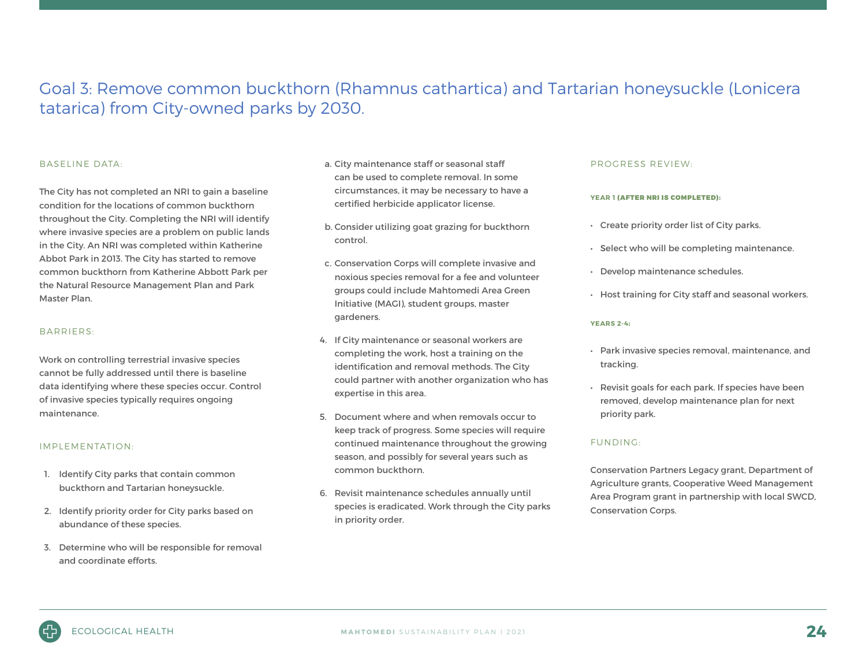### Goal 3: Remove common buckthorn (Rhamnus cathartica) and Tartarian honeysuckle (Lonicera tatarica) from City-owned parks by 2030.

#### BASELINE DATA:

The City has not completed an NRI to gain a baseline condition for the locations of common buckthorn throughout the City. Completing the NRI will identify where invasive species are a problem on public lands in the City. An NRI was completed within Katherine Abbot Park in 2013. The City has started to remove common buckthorn from Katherine Abbott Park per the Natural Resource Management Plan and Park Master Plan.

#### BARRIERS:

Work on controlling terrestrial invasive species cannot be fully addressed until there is baseline data identifying where these species occur. Control of invasive species typically requires ongoing maintenance.

#### IMPLEMENTATION:

- 1. Identify City parks that contain common buckthorn and Tartarian honeysuckle.
- 2. Identify priority order for City parks based on abundance of these species.
- 3. Determine who will be responsible for removal and coordinate efforts.
- a. City maintenance staff or seasonal staff can be used to complete removal. In some circumstances, it may be necessary to have a certified herbicide applicator license.
- b. Consider utilizing goat grazing for buckthorn control.
- c. Conservation Corps will complete invasive and noxious species removal for a fee and volunteer groups could include Mahtomedi Area Green Initiative (MAGI), student groups, master gardeners.
- 4. If City maintenance or seasonal workers are completing the work, host a training on the identification and removal methods. The City could partner with another organization who has expertise in this area.
- 5. Document where and when removals occur to keep track of progress. Some species will require continued maintenance throughout the growing season, and possibly for several years such as common buckthorn.
- 6. Revisit maintenance schedules annually until species is eradicated. Work through the City parks in priority order.

#### PROGRESS REVIEW:

#### **YEAR 1** (AFTER NRI IS COMPLETED):

- Create priority order list of City parks.
- Select who will be completing maintenance.
- Develop maintenance schedules.
- Host training for City staff and seasonal workers.

#### **YEARS 2-4**:

- Park invasive species removal, maintenance, and tracking.
- Revisit goals for each park. If species have been removed, develop maintenance plan for next priority park.

#### FUNDING:

Conservation Partners Legacy grant, Department of Agriculture grants, Cooperative Weed Management Area Program grant in partnership with local SWCD, Conservation Corps.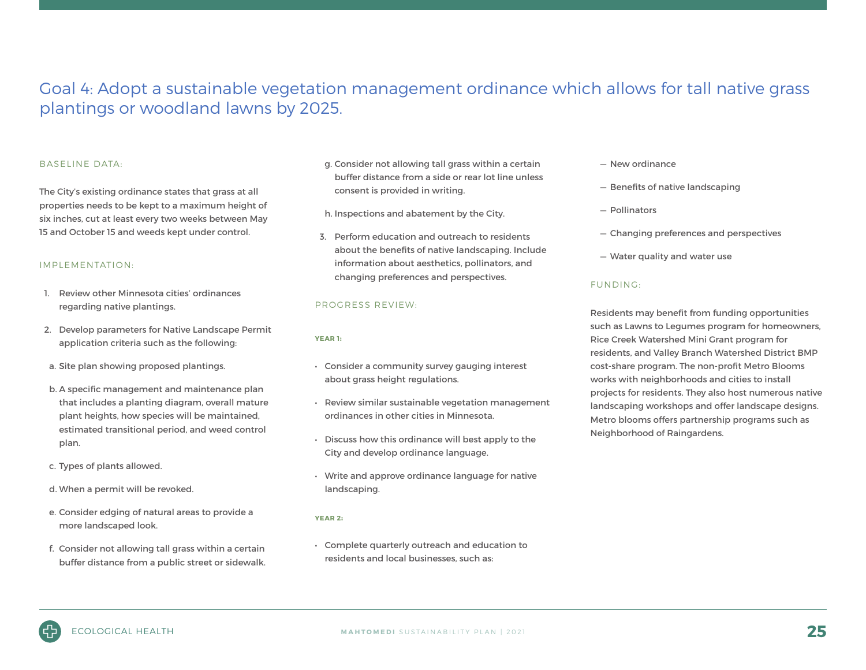### Goal 4: Adopt a sustainable vegetation management ordinance which allows for tall native grass plantings or woodland lawns by 2025.

#### BASELINE DATA:

The City's existing ordinance states that grass at all properties needs to be kept to a maximum height of six inches, cut at least every two weeks between May 15 and October 15 and weeds kept under control.

#### IMPLEMENTATION:

- 1. Review other Minnesota cities' ordinances regarding native plantings.
- 2. Develop parameters for Native Landscape Permit application criteria such as the following:
- a. Site plan showing proposed plantings.
- b. A specific management and maintenance plan that includes a planting diagram, overall mature plant heights, how species will be maintained, estimated transitional period, and weed control plan.
- c. Types of plants allowed.
- d. When a permit will be revoked.
- e. Consider edging of natural areas to provide a more landscaped look.
- f. Consider not allowing tall grass within a certain buffer distance from a public street or sidewalk.
- g. Consider not allowing tall grass within a certain buffer distance from a side or rear lot line unless consent is provided in writing.
- h. Inspections and abatement by the City.
- 3. Perform education and outreach to residents about the benefits of native landscaping. Include information about aesthetics, pollinators, and changing preferences and perspectives.

#### PROGRESS REVIEW:

#### **YEAR 1**:

- Consider a community survey gauging interest about grass height regulations.
- Review similar sustainable vegetation management ordinances in other cities in Minnesota.
- Discuss how this ordinance will best apply to the City and develop ordinance language.
- Write and approve ordinance language for native landscaping.

#### **YEAR 2**:

• Complete quarterly outreach and education to residents and local businesses, such as:

- New ordinance
- Benefits of native landscaping
- Pollinators
- Changing preferences and perspectives
- Water quality and water use

#### FUNDING:

Residents may benefit from funding opportunities such as Lawns to Legumes program for homeowners, Rice Creek Watershed Mini Grant program for residents, and Valley Branch Watershed District BMP cost-share program. The non-profit Metro Blooms works with neighborhoods and cities to install projects for residents. They also host numerous native landscaping workshops and offer landscape designs. Metro blooms offers partnership programs such as Neighborhood of Raingardens.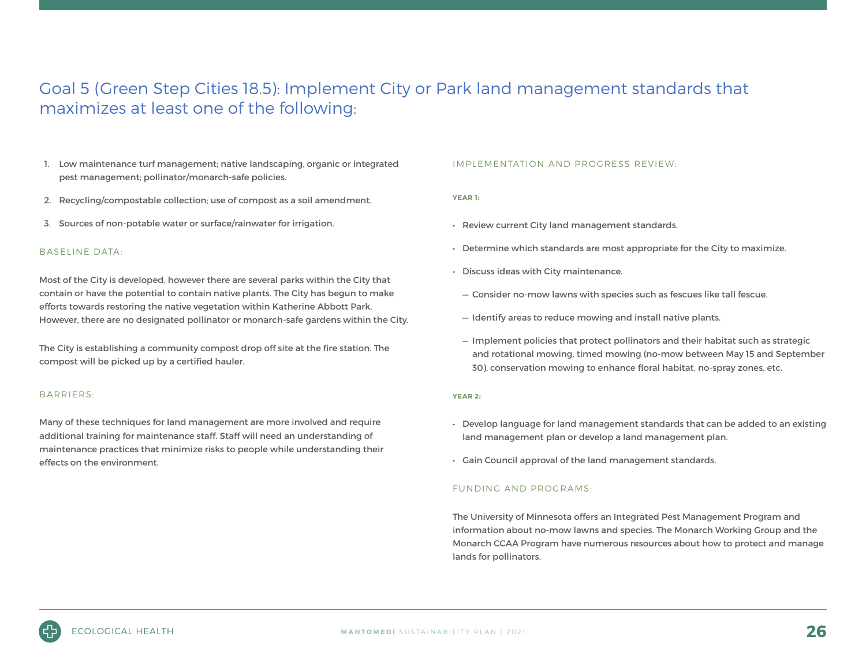### Goal 5 (Green Step Cities 18.5): Implement City or Park land management standards that maximizes at least one of the following:

- 1. Low maintenance turf management; native landscaping, organic or integrated pest management; pollinator/monarch-safe policies.
- 2. Recycling/compostable collection; use of compost as a soil amendment.
- 3. Sources of non-potable water or surface/rainwater for irrigation.

#### BASELINE DATA:

Most of the City is developed, however there are several parks within the City that contain or have the potential to contain native plants. The City has begun to make efforts towards restoring the native vegetation within Katherine Abbott Park. However, there are no designated pollinator or monarch-safe gardens within the City.

The City is establishing a community compost drop off site at the fire station. The compost will be picked up by a certified hauler.

#### BARRIERS:

Many of these techniques for land management are more involved and require additional training for maintenance staff. Staff will need an understanding of maintenance practices that minimize risks to people while understanding their effects on the environment.

#### IMPLEMENTATION AND PROGRESS REVIEW:

#### **YEAR 1**:

- Review current City land management standards.
- Determine which standards are most appropriate for the City to maximize.
- Discuss ideas with City maintenance.
	- Consider no-mow lawns with species such as fescues like tall fescue.
	- Identify areas to reduce mowing and install native plants.
	- Implement policies that protect pollinators and their habitat such as strategic and rotational mowing, timed mowing (no-mow between May 15 and September 30), conservation mowing to enhance floral habitat, no-spray zones, etc.

#### **YEAR 2**:

- Develop language for land management standards that can be added to an existing land management plan or develop a land management plan.
- Gain Council approval of the land management standards.

#### FUNDING AND PROGRAMS:

The University of Minnesota offers an Integrated Pest Management Program and information about no-mow lawns and species. The Monarch Working Group and the Monarch CCAA Program have numerous resources about how to protect and manage lands for pollinators.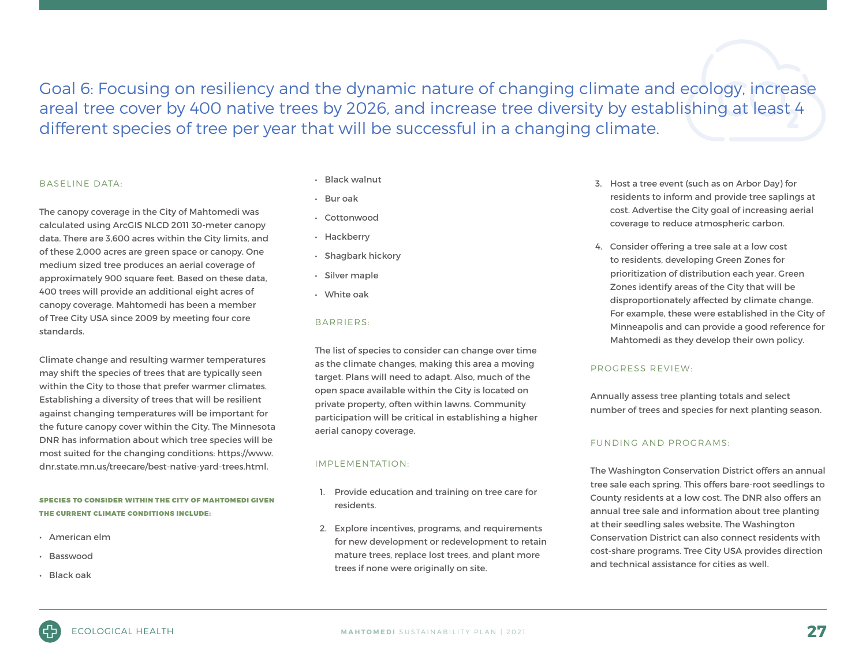Goal 6: Focusing on resiliency and the dynamic nature of changing climate and ecology, increase areal tree cover by 400 native trees by 2026, and increase tree diversity by establishing at least 4 different species of tree per year that will be successful in a changing climate.

#### BASELINE DATA:

The canopy coverage in the City of Mahtomedi was calculated using ArcGIS NLCD 2011 30-meter canopy data. There are 3,600 acres within the City limits, and of these 2,000 acres are green space or canopy. One medium sized tree produces an aerial coverage of approximately 900 square feet. Based on these data, 400 trees will provide an additional eight acres of canopy coverage. Mahtomedi has been a member of Tree City USA since 2009 by meeting four core standards.

Climate change and resulting warmer temperatures may shift the species of trees that are typically seen within the City to those that prefer warmer climates. Establishing a diversity of trees that will be resilient against changing temperatures will be important for the future canopy cover within the City. The Minnesota DNR has information about which tree species will be most suited for the changing conditions: https://www. dnr.state.mn.us/treecare/best-native-yard-trees.html.

SPECIES TO CONSIDER WITHIN THE CITY OF MAHTOMEDI GIVEN THE CURRENT CLIMATE CONDITIONS INCLUDE:

- American elm
- Basswood
- Black oak
- Black walnut
- Bur oak
- Cottonwood
- Hackberry
- Shagbark hickory
- Silver maple
- White oak

#### BARRIERS:

The list of species to consider can change over time as the climate changes, making this area a moving target. Plans will need to adapt. Also, much of the open space available within the City is located on private property, often within lawns. Community participation will be critical in establishing a higher aerial canopy coverage.

#### IMPLEMENTATION:

- 1. Provide education and training on tree care for residents.
- 2. Explore incentives, programs, and requirements for new development or redevelopment to retain mature trees, replace lost trees, and plant more trees if none were originally on site.
- 3. Host a tree event (such as on Arbor Day) for residents to inform and provide tree saplings at cost. Advertise the City goal of increasing aerial coverage to reduce atmospheric carbon.
- 4. Consider offering a tree sale at a low cost to residents, developing Green Zones for prioritization of distribution each year. Green Zones identify areas of the City that will be disproportionately affected by climate change. For example, these were established in the City of Minneapolis and can provide a good reference for Mahtomedi as they develop their own policy.

#### PROGRESS REVIEW:

Annually assess tree planting totals and select number of trees and species for next planting season.

#### FUNDING AND PROGRAMS:

The Washington Conservation District offers an annual tree sale each spring. This offers bare-root seedlings to County residents at a low cost. The DNR also offers an annual tree sale and information about tree planting at their seedling sales website. The Washington Conservation District can also connect residents with cost-share programs. Tree City USA provides direction and technical assistance for cities as well.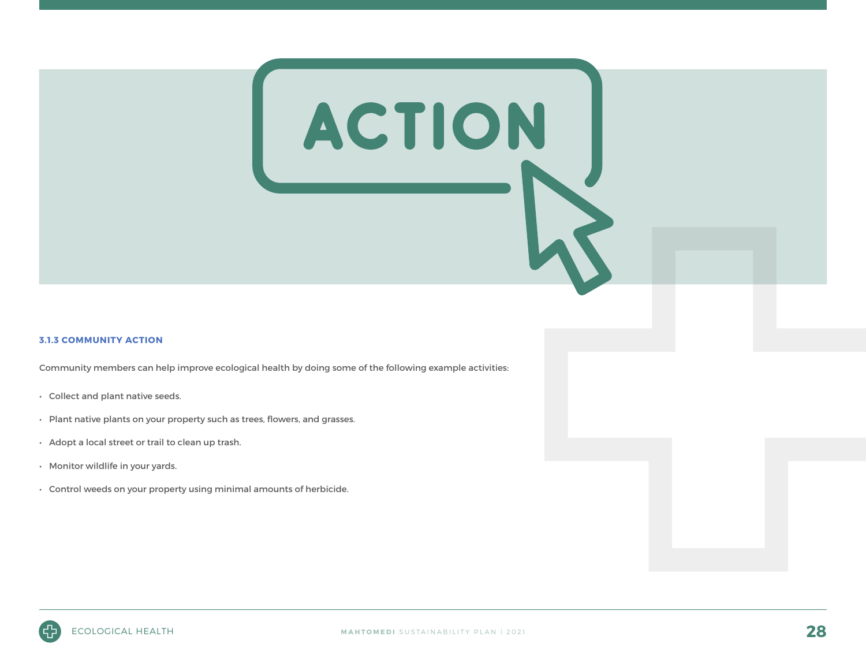#### **3.1.3 COMMUNITY ACTION**

Community members can help improve ecological health by doing some of the following example activities:

- Collect and plant native seeds.
- Plant native plants on your property such as trees, flowers, and grasses.
- Adopt a local street or trail to clean up trash.
- Monitor wildlife in your yards.
- Control weeds on your property using minimal amounts of herbicide.



ACTION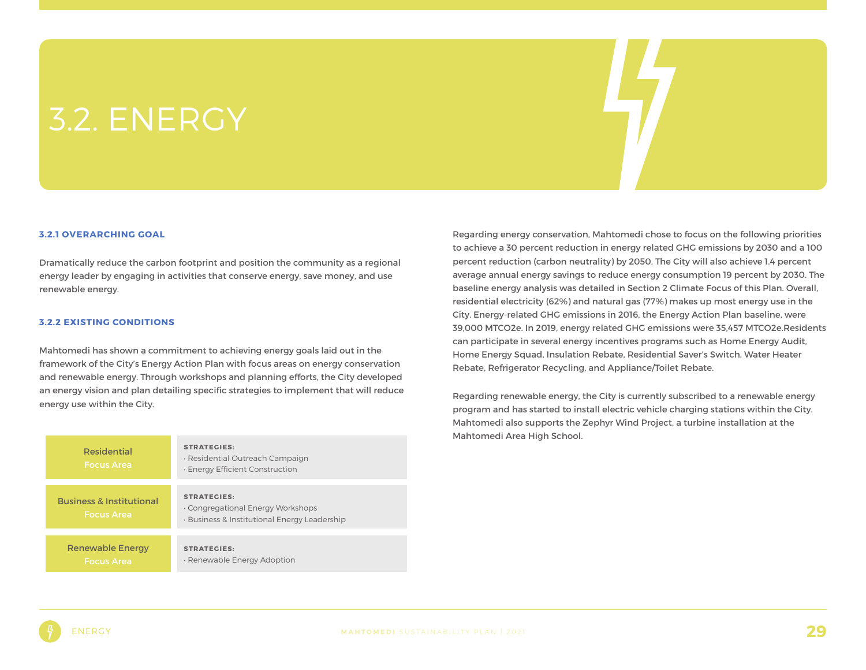## 3.2. ENERGY

#### **3.2.1 OVERARCHING GOAL**

Dramatically reduce the carbon footprint and position the community as a regional energy leader by engaging in activities that conserve energy, save money, and use renewable energy.

#### **3.2.2 EXISTING CONDITIONS**

Mahtomedi has shown a commitment to achieving energy goals laid out in the framework of the City's Energy Action Plan with focus areas on energy conservation and renewable energy. Through workshops and planning efforts, the City developed an energy vision and plan detailing specific strategies to implement that will reduce energy use within the City.

| <b>Residential</b><br><b>Focus Area</b>                  | <b>STRATEGIES:</b><br>· Residential Outreach Campaign<br>· Energy Efficient Construction                |
|----------------------------------------------------------|---------------------------------------------------------------------------------------------------------|
| <b>Business &amp; Institutional</b><br><b>Focus Area</b> | <b>STRATEGIES:</b><br>. Congregational Energy Workshops<br>· Business & Institutional Energy Leadership |
| Renewable Energy<br><b>Focus Area</b>                    | <b>STRATEGIES:</b><br>· Renewable Energy Adoption                                                       |

Regarding energy conservation, Mahtomedi chose to focus on the following priorities to achieve a 30 percent reduction in energy related GHG emissions by 2030 and a 100 percent reduction (carbon neutrality) by 2050. The City will also achieve 1.4 percent average annual energy savings to reduce energy consumption 19 percent by 2030. The baseline energy analysis was detailed in Section 2 Climate Focus of this Plan. Overall, residential electricity (62%) and natural gas (77%) makes up most energy use in the City. Energy-related GHG emissions in 2016, the Energy Action Plan baseline, were 39,000 MTCO2e. In 2019, energy related GHG emissions were 35,457 MTCO2e.Residents can participate in several energy incentives programs such as Home Energy Audit, Home Energy Squad, Insulation Rebate, Residential Saver's Switch, Water Heater Rebate, Refrigerator Recycling, and Appliance/Toilet Rebate.

Regarding renewable energy, the City is currently subscribed to a renewable energy program and has started to install electric vehicle charging stations within the City. Mahtomedi also supports the Zephyr Wind Project, a turbine installation at the Mahtomedi Area High School.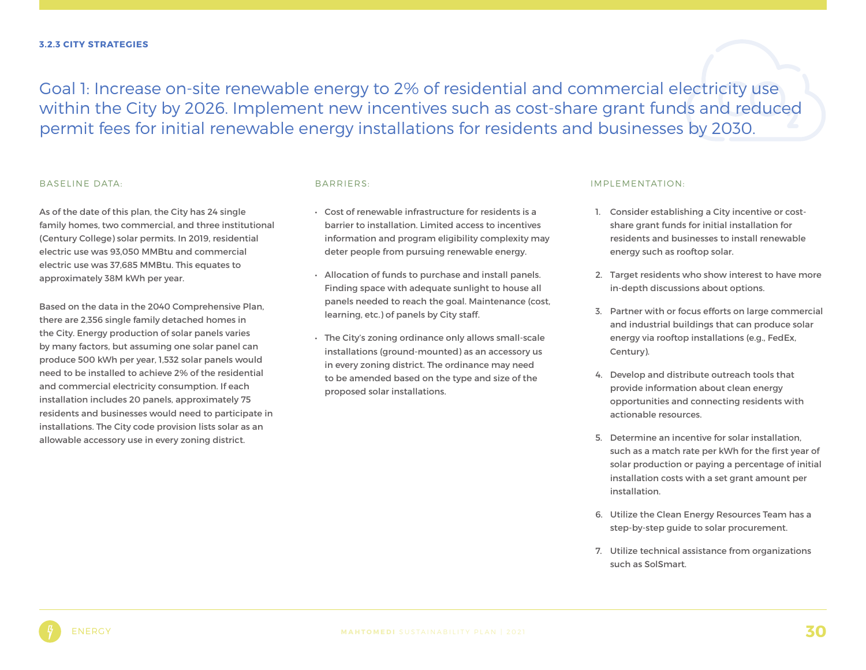Goal 1: Increase on-site renewable energy to 2% of residential and commercial electricity use within the City by 2026. Implement new incentives such as cost-share grant funds and reduced permit fees for initial renewable energy installations for residents and businesses by 2030.

#### BASELINE DATA:

As of the date of this plan, the City has 24 single family homes, two commercial, and three institutional (Century College) solar permits. In 2019, residential electric use was 93,050 MMBtu and commercial electric use was 37,685 MMBtu. This equates to approximately 38M kWh per year.

Based on the data in the 2040 Comprehensive Plan, there are 2,356 single family detached homes in the City. Energy production of solar panels varies by many factors, but assuming one solar panel can produce 500 kWh per year, 1,532 solar panels would need to be installed to achieve 2% of the residential and commercial electricity consumption. If each installation includes 20 panels, approximately 75 residents and businesses would need to participate in installations. The City code provision lists solar as an allowable accessory use in every zoning district.

#### BARRIERS:

- Cost of renewable infrastructure for residents is a barrier to installation. Limited access to incentives information and program eligibility complexity may deter people from pursuing renewable energy.
- Allocation of funds to purchase and install panels. Finding space with adequate sunlight to house all panels needed to reach the goal. Maintenance (cost, learning, etc.) of panels by City staff.
- The City's zoning ordinance only allows small-scale installations (ground-mounted) as an accessory us in every zoning district. The ordinance may need to be amended based on the type and size of the proposed solar installations.

#### IMPLEMENTATION:

- 1. Consider establishing a City incentive or costshare grant funds for initial installation for residents and businesses to install renewable energy such as rooftop solar.
- 2. Target residents who show interest to have more in-depth discussions about options.
- 3. Partner with or focus efforts on large commercial and industrial buildings that can produce solar energy via rooftop installations (e.g., FedEx, Century).
- 4. Develop and distribute outreach tools that provide information about clean energy opportunities and connecting residents with actionable resources.
- 5. Determine an incentive for solar installation, such as a match rate per kWh for the first year of solar production or paying a percentage of initial installation costs with a set grant amount per installation.
- 6. Utilize the Clean Energy Resources Team has a step-by-step guide to solar procurement.
- 7. Utilize technical assistance from organizations such as SolSmart.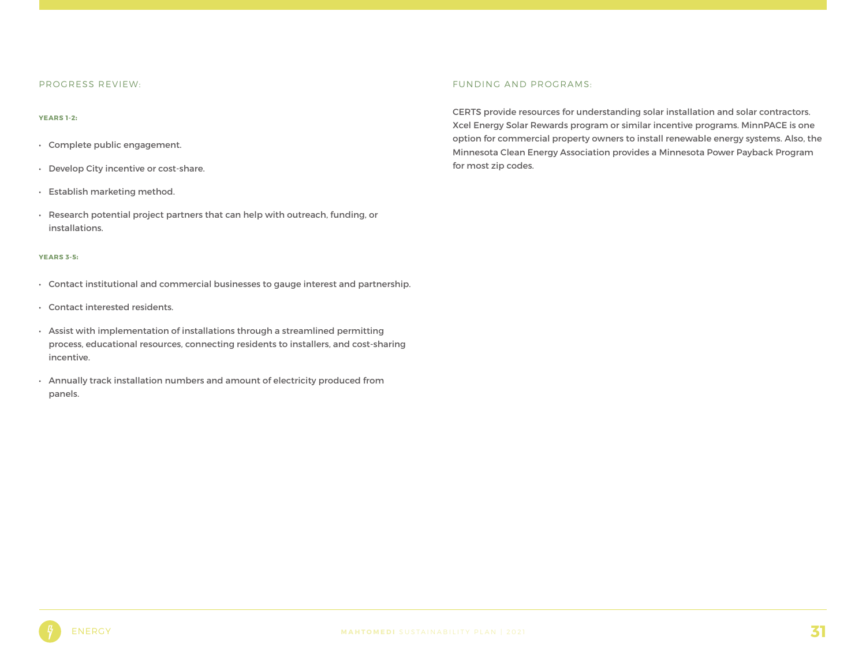#### PROGRESS REVIEW:

#### **YEARS 1-2**:

- Complete public engagement.
- Develop City incentive or cost-share.
- Establish marketing method.
- Research potential project partners that can help with outreach, funding, or installations.

#### **YEARS 3-5**:

- Contact institutional and commercial businesses to gauge interest and partnership.
- Contact interested residents.
- Assist with implementation of installations through a streamlined permitting process, educational resources, connecting residents to installers, and cost-sharing incentive.
- Annually track installation numbers and amount of electricity produced from panels.

#### FUNDING AND PROGRAMS:

CERTS provide resources for understanding solar installation and solar contractors. Xcel Energy Solar Rewards program or similar incentive programs. MinnPACE is one option for commercial property owners to install renewable energy systems. Also, the Minnesota Clean Energy Association provides a Minnesota Power Payback Program for most zip codes.

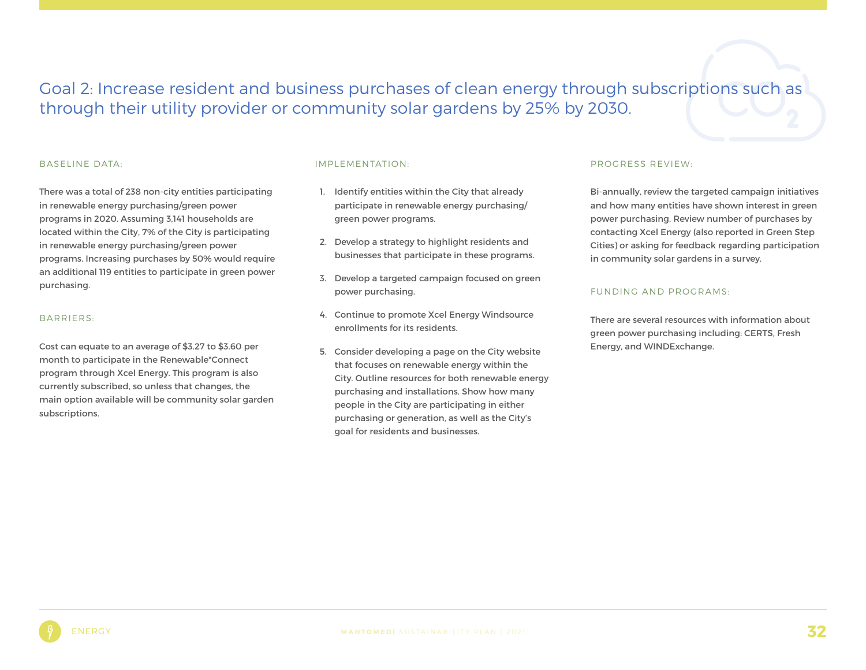Goal 2: Increase resident and business purchases of clean energy through subscriptions such as through their utility provider or community solar gardens by 25% by 2030.

#### BASELINE DATA:

There was a total of 238 non-city entities participating in renewable energy purchasing/green power programs in 2020. Assuming 3,141 households are located within the City, 7% of the City is participating in renewable energy purchasing/green power programs. Increasing purchases by 50% would require an additional 119 entities to participate in green power purchasing.

#### BARRIERS:

Cost can equate to an average of \$3.27 to \$3.60 per month to participate in the Renewable\*Connect program through Xcel Energy. This program is also currently subscribed, so unless that changes, the main option available will be community solar garden subscriptions.

#### IMPLEMENTATION:

- 1. Identify entities within the City that already participate in renewable energy purchasing/ green power programs.
- 2. Develop a strategy to highlight residents and businesses that participate in these programs.
- 3. Develop a targeted campaign focused on green power purchasing.
- 4. Continue to promote Xcel Energy Windsource enrollments for its residents.
- 5. Consider developing a page on the City website that focuses on renewable energy within the City. Outline resources for both renewable energy purchasing and installations. Show how many people in the City are participating in either purchasing or generation, as well as the City's goal for residents and businesses.

#### PROGRESS REVIEW:

Bi-annually, review the targeted campaign initiatives and how many entities have shown interest in green power purchasing. Review number of purchases by contacting Xcel Energy (also reported in Green Step Cities) or asking for feedback regarding participation in community solar gardens in a survey.

#### FUNDING AND PROGRAMS:

There are several resources with information about green power purchasing including: CERTS, Fresh Energy, and WINDExchange.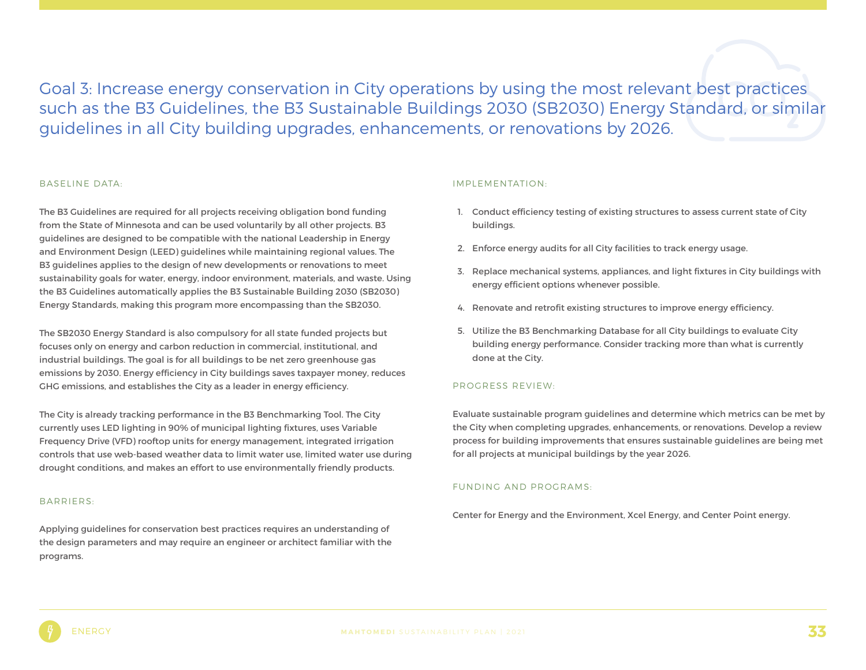Goal 3: Increase energy conservation in City operations by using the most relevant best practices such as the B3 Guidelines, the B3 Sustainable Buildings 2030 (SB2030) Energy Standard, or similar guidelines in all City building upgrades, enhancements, or renovations by 2026.

#### BASELINE DATA:

The B3 Guidelines are required for all projects receiving obligation bond funding from the State of Minnesota and can be used voluntarily by all other projects. B3 guidelines are designed to be compatible with the national Leadership in Energy and Environment Design (LEED) guidelines while maintaining regional values. The B3 guidelines applies to the design of new developments or renovations to meet sustainability goals for water, energy, indoor environment, materials, and waste. Using the B3 Guidelines automatically applies the B3 Sustainable Building 2030 (SB2030) Energy Standards, making this program more encompassing than the SB2030.

The SB2030 Energy Standard is also compulsory for all state funded projects but focuses only on energy and carbon reduction in commercial, institutional, and industrial buildings. The goal is for all buildings to be net zero greenhouse gas emissions by 2030. Energy efficiency in City buildings saves taxpayer money, reduces GHG emissions, and establishes the City as a leader in energy efficiency.

The City is already tracking performance in the B3 Benchmarking Tool. The City currently uses LED lighting in 90% of municipal lighting fixtures, uses Variable Frequency Drive (VFD) rooftop units for energy management, integrated irrigation controls that use web-based weather data to limit water use, limited water use during drought conditions, and makes an effort to use environmentally friendly products.

#### BARRIERS:

Applying guidelines for conservation best practices requires an understanding of the design parameters and may require an engineer or architect familiar with the programs.

#### IMPLEMENTATION:

- 1. Conduct efficiency testing of existing structures to assess current state of City buildings.
- 2. Enforce energy audits for all City facilities to track energy usage.
- 3. Replace mechanical systems, appliances, and light fixtures in City buildings with energy efficient options whenever possible.
- 4. Renovate and retrofit existing structures to improve energy efficiency.
- 5. Utilize the B3 Benchmarking Database for all City buildings to evaluate City building energy performance. Consider tracking more than what is currently done at the City.

#### PROGRESS REVIEW:

Evaluate sustainable program guidelines and determine which metrics can be met by the City when completing upgrades, enhancements, or renovations. Develop a review process for building improvements that ensures sustainable guidelines are being met for all projects at municipal buildings by the year 2026.

#### FUNDING AND PROGRAMS:

Center for Energy and the Environment, Xcel Energy, and Center Point energy.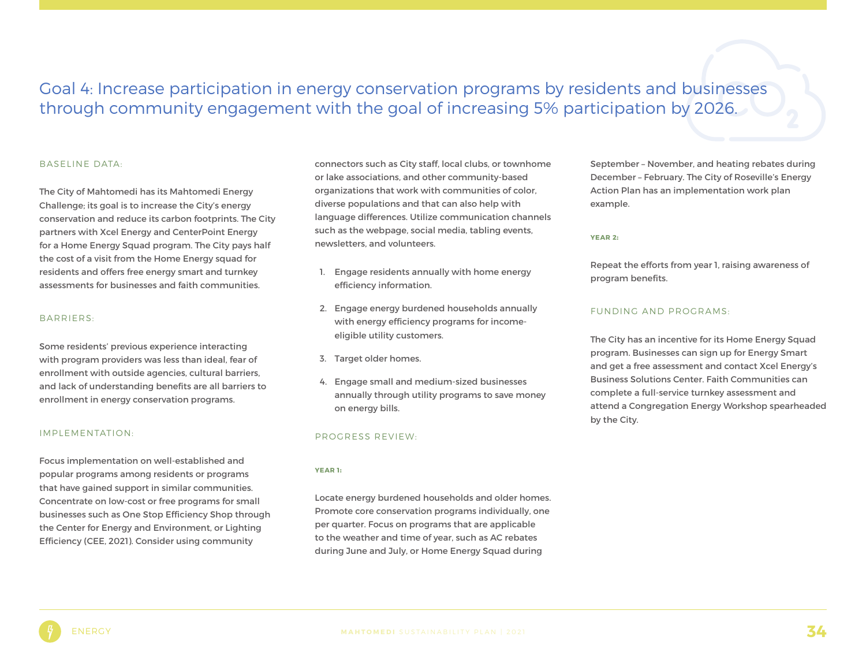### Goal 4: Increase participation in energy conservation programs by residents and businesses through community engagement with the goal of increasing 5% participation by 2026.

#### BASELINE DATA:

The City of Mahtomedi has its Mahtomedi Energy Challenge; its goal is to increase the City's energy conservation and reduce its carbon footprints. The City partners with Xcel Energy and CenterPoint Energy for a Home Energy Squad program. The City pays half the cost of a visit from the Home Energy squad for residents and offers free energy smart and turnkey assessments for businesses and faith communities.

#### BARRIERS:

Some residents' previous experience interacting with program providers was less than ideal, fear of enrollment with outside agencies, cultural barriers, and lack of understanding benefits are all barriers to enrollment in energy conservation programs.

#### IMPLEMENTATION:

Focus implementation on well-established and popular programs among residents or programs that have gained support in similar communities. Concentrate on low-cost or free programs for small businesses such as One Stop Efficiency Shop through the Center for Energy and Environment, or Lighting Efficiency (CEE, 2021). Consider using community

connectors such as City staff, local clubs, or townhome or lake associations, and other community-based organizations that work with communities of color, diverse populations and that can also help with language differences. Utilize communication channels such as the webpage, social media, tabling events, newsletters, and volunteers.

- 1. Engage residents annually with home energy efficiency information.
- 2. Engage energy burdened households annually with energy efficiency programs for incomeeligible utility customers.
- 3. Target older homes.
- 4. Engage small and medium-sized businesses annually through utility programs to save money on energy bills.

#### PROGRESS REVIEW:

#### **YEAR 1**:

Locate energy burdened households and older homes. Promote core conservation programs individually, one per quarter. Focus on programs that are applicable to the weather and time of year, such as AC rebates during June and July, or Home Energy Squad during

September – November, and heating rebates during December – February. The City of Roseville's Energy Action Plan has an implementation work plan example.

#### **YEAR 2**:

Repeat the efforts from year 1, raising awareness of program benefits.

#### FUNDING AND PROGRAMS:

The City has an incentive for its Home Energy Squad program. Businesses can sign up for Energy Smart and get a free assessment and contact Xcel Energy's Business Solutions Center. Faith Communities can complete a full-service turnkey assessment and attend a Congregation Energy Workshop spearheaded by the City.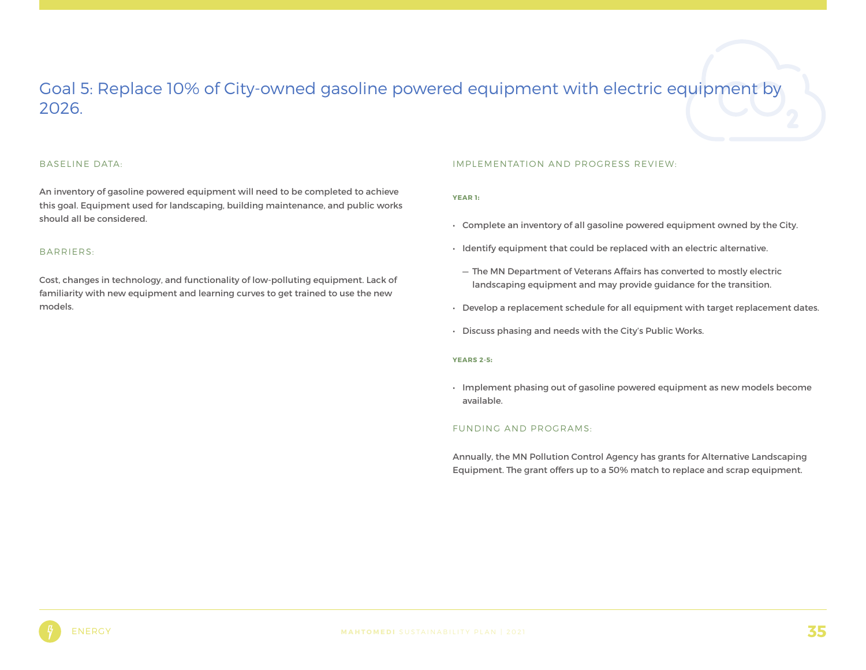### Goal 5: Replace 10% of City-owned gasoline powered equipment with electric equipment by 2026.

#### BASELINE DATA:

An inventory of gasoline powered equipment will need to be completed to achieve this goal. Equipment used for landscaping, building maintenance, and public works should all be considered.

#### BARRIERS:

Cost, changes in technology, and functionality of low-polluting equipment. Lack of familiarity with new equipment and learning curves to get trained to use the new models.

#### IMPLEMENTATION AND PROGRESS REVIEW:

#### **YEAR 1**:

- Complete an inventory of all gasoline powered equipment owned by the City.
- Identify equipment that could be replaced with an electric alternative.
	- The MN Department of Veterans Affairs has converted to mostly electric landscaping equipment and may provide guidance for the transition.
- Develop a replacement schedule for all equipment with target replacement dates.
- Discuss phasing and needs with the City's Public Works.

#### **YEARS 2-5**:

• Implement phasing out of gasoline powered equipment as new models become available.

#### FUNDING AND PROGRAMS:

Annually, the MN Pollution Control Agency has grants for Alternative Landscaping Equipment. The grant offers up to a 50% match to replace and scrap equipment.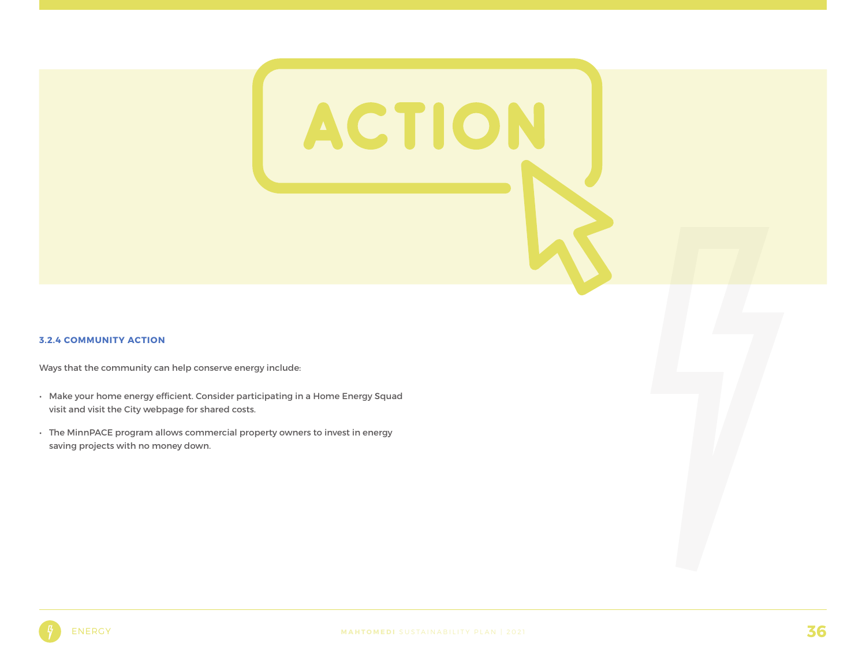#### **3.2.4 COMMUNITY ACTION**

Ways that the community can help conserve energy include:

- Make your home energy efficient. Consider participating in a Home Energy Squad visit and visit the City webpage for shared costs.
- The MinnPACE program allows commercial property owners to invest in energy saving projects with no money down.

ACTION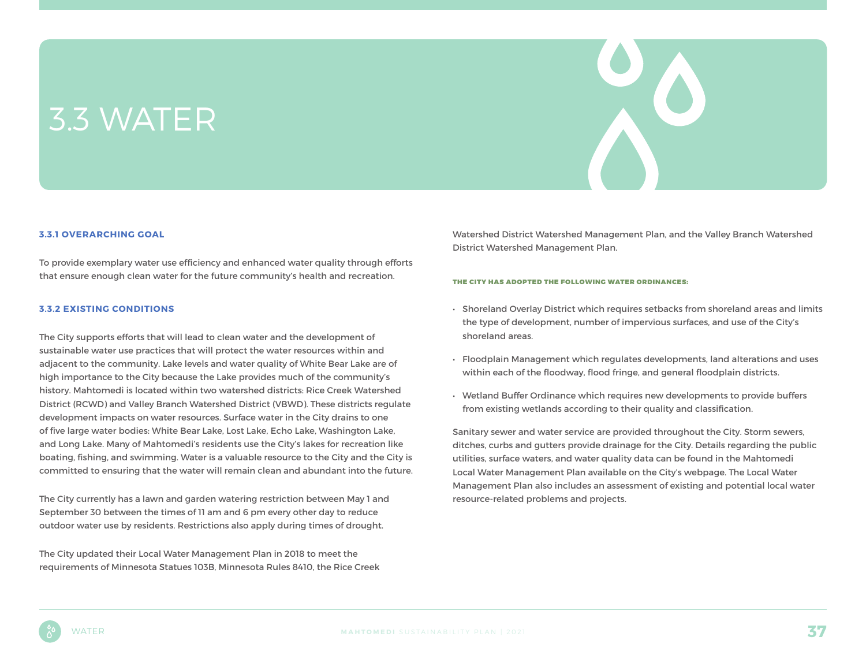## 3.3 WATER

#### **3.3.1 OVERARCHING GOAL**

To provide exemplary water use efficiency and enhanced water quality through efforts that ensure enough clean water for the future community's health and recreation.

#### **3.3.2 EXISTING CONDITIONS**

The City supports efforts that will lead to clean water and the development of sustainable water use practices that will protect the water resources within and adjacent to the community. Lake levels and water quality of White Bear Lake are of high importance to the City because the Lake provides much of the community's history. Mahtomedi is located within two watershed districts: Rice Creek Watershed District (RCWD) and Valley Branch Watershed District (VBWD). These districts regulate development impacts on water resources. Surface water in the City drains to one of five large water bodies: White Bear Lake, Lost Lake, Echo Lake, Washington Lake, and Long Lake. Many of Mahtomedi's residents use the City's lakes for recreation like boating, fishing, and swimming. Water is a valuable resource to the City and the City is committed to ensuring that the water will remain clean and abundant into the future.

The City currently has a lawn and garden watering restriction between May 1 and September 30 between the times of 11 am and 6 pm every other day to reduce outdoor water use by residents. Restrictions also apply during times of drought.

The City updated their Local Water Management Plan in 2018 to meet the requirements of Minnesota Statues 103B, Minnesota Rules 8410, the Rice Creek Watershed District Watershed Management Plan, and the Valley Branch Watershed District Watershed Management Plan.

#### THE CITY HAS ADOPTED THE FOLLOWING WATER ORDINANCES:

- Shoreland Overlay District which requires setbacks from shoreland areas and limits the type of development, number of impervious surfaces, and use of the City's shoreland areas.
- Floodplain Management which regulates developments, land alterations and uses within each of the floodway, flood fringe, and general floodplain districts.
- Wetland Buffer Ordinance which requires new developments to provide buffers from existing wetlands according to their quality and classification.

Sanitary sewer and water service are provided throughout the City. Storm sewers, ditches, curbs and gutters provide drainage for the City. Details regarding the public utilities, surface waters, and water quality data can be found in the Mahtomedi Local Water Management Plan available on the City's webpage. The Local Water Management Plan also includes an assessment of existing and potential local water resource-related problems and projects.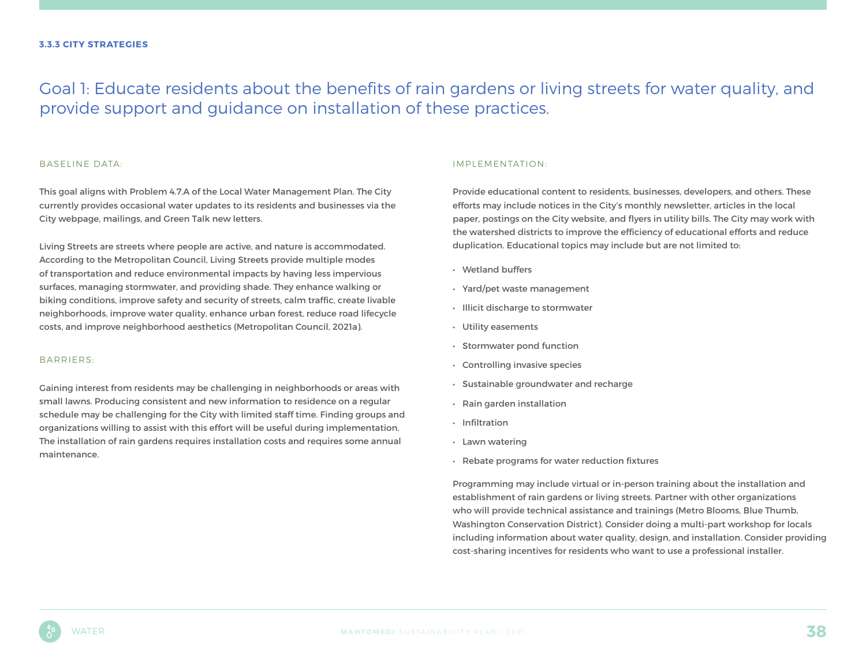### Goal 1: Educate residents about the benefits of rain gardens or living streets for water quality, and provide support and guidance on installation of these practices.

#### BASELINE DATA:

This goal aligns with Problem 4.7.A of the Local Water Management Plan. The City currently provides occasional water updates to its residents and businesses via the City webpage, mailings, and Green Talk new letters.

Living Streets are streets where people are active, and nature is accommodated. According to the Metropolitan Council, Living Streets provide multiple modes of transportation and reduce environmental impacts by having less impervious surfaces, managing stormwater, and providing shade. They enhance walking or biking conditions, improve safety and security of streets, calm traffic, create livable neighborhoods, improve water quality, enhance urban forest, reduce road lifecycle costs, and improve neighborhood aesthetics (Metropolitan Council, 2021a).

#### BARRIERS:

Gaining interest from residents may be challenging in neighborhoods or areas with small lawns. Producing consistent and new information to residence on a regular schedule may be challenging for the City with limited staff time. Finding groups and organizations willing to assist with this effort will be useful during implementation. The installation of rain gardens requires installation costs and requires some annual maintenance.

#### IMPLEMENTATION:

Provide educational content to residents, businesses, developers, and others. These efforts may include notices in the City's monthly newsletter, articles in the local paper, postings on the City website, and flyers in utility bills. The City may work with the watershed districts to improve the efficiency of educational efforts and reduce duplication. Educational topics may include but are not limited to:

- Wetland buffers
- Yard/pet waste management
- Illicit discharge to stormwater
- Utility easements
- Stormwater pond function
- Controlling invasive species
- Sustainable groundwater and recharge
- Rain garden installation
- Infiltration
- Lawn watering
- Rebate programs for water reduction fixtures

Programming may include virtual or in-person training about the installation and establishment of rain gardens or living streets. Partner with other organizations who will provide technical assistance and trainings (Metro Blooms, Blue Thumb, Washington Conservation District). Consider doing a multi-part workshop for locals including information about water quality, design, and installation. Consider providing cost-sharing incentives for residents who want to use a professional installer.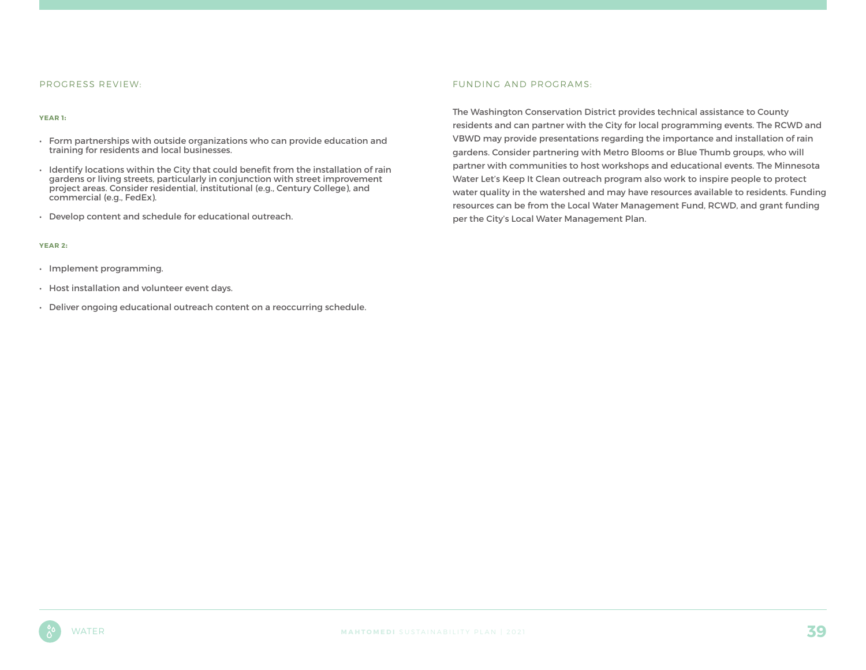#### PROGRESS REVIEW:

#### **YEAR 1**:

- Form partnerships with outside organizations who can provide education and training for residents and local businesses.
- Identify locations within the City that could benefit from the installation of rain gardens or living streets, particularly in conjunction with street improvement project areas. Consider residential, institutional (e.g., Century College), and commercial (e.g., FedEx).
- Develop content and schedule for educational outreach.

#### **YEAR 2**:

- Implement programming.
- Host installation and volunteer event days.
- Deliver ongoing educational outreach content on a reoccurring schedule.

#### FUNDING AND PROGRAMS:

The Washington Conservation District provides technical assistance to County residents and can partner with the City for local programming events. The RCWD and VBWD may provide presentations regarding the importance and installation of rain gardens. Consider partnering with Metro Blooms or Blue Thumb groups, who will partner with communities to host workshops and educational events. The Minnesota Water Let's Keep It Clean outreach program also work to inspire people to protect water quality in the watershed and may have resources available to residents. Funding resources can be from the Local Water Management Fund, RCWD, and grant funding per the City's Local Water Management Plan.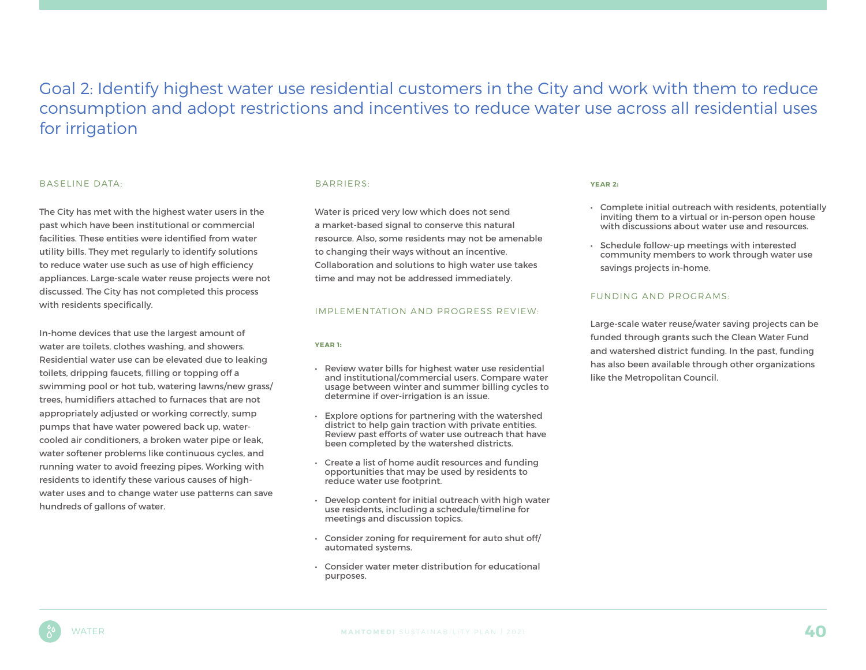Goal 2: Identify highest water use residential customers in the City and work with them to reduce consumption and adopt restrictions and incentives to reduce water use across all residential uses for irrigation

#### BASELINE DATA:

The City has met with the highest water users in the past which have been institutional or commercial facilities. These entities were identified from water utility bills. They met regularly to identify solutions to reduce water use such as use of high efficiency appliances. Large-scale water reuse projects were not discussed. The City has not completed this process with residents specifically.

In-home devices that use the largest amount of water are toilets, clothes washing, and showers. Residential water use can be elevated due to leaking toilets, dripping faucets, filling or topping off a swimming pool or hot tub, watering lawns/new grass/ trees, humidifiers attached to furnaces that are not appropriately adjusted or working correctly, sump pumps that have water powered back up, watercooled air conditioners, a broken water pipe or leak, water softener problems like continuous cycles, and running water to avoid freezing pipes. Working with residents to identify these various causes of highwater uses and to change water use patterns can save hundreds of gallons of water.

#### BARRIERS:

Water is priced very low which does not send a market-based signal to conserve this natural resource. Also, some residents may not be amenable to changing their ways without an incentive. Collaboration and solutions to high water use takes time and may not be addressed immediately.

#### IMPLEMENTATION AND PROGRESS REVIEW:

#### **YEAR 1**:

- Review water bills for highest water use residential and institutional/commercial users. Compare water usage between winter and summer billing cycles to determine if over-irrigation is an issue.
- Explore options for partnering with the watershed district to help gain traction with private entities. Review past efforts of water use outreach that have been completed by the watershed districts.
- Create a list of home audit resources and funding opportunities that may be used by residents to reduce water use footprint.
- Develop content for initial outreach with high water use residents, including a schedule/timeline for meetings and discussion topics.
- Consider zoning for requirement for auto shut off/ automated systems.
- Consider water meter distribution for educational purposes.

#### **YEAR 2**:

- Complete initial outreach with residents, potentially inviting them to a virtual or in-person open house with discussions about water use and resources.
- Schedule follow-up meetings with interested community members to work through water use savings projects in-home.

#### FUNDING AND PROGRAMS:

Large-scale water reuse/water saving projects can be funded through grants such the Clean Water Fund and watershed district funding. In the past, funding has also been available through other organizations like the Metropolitan Council.

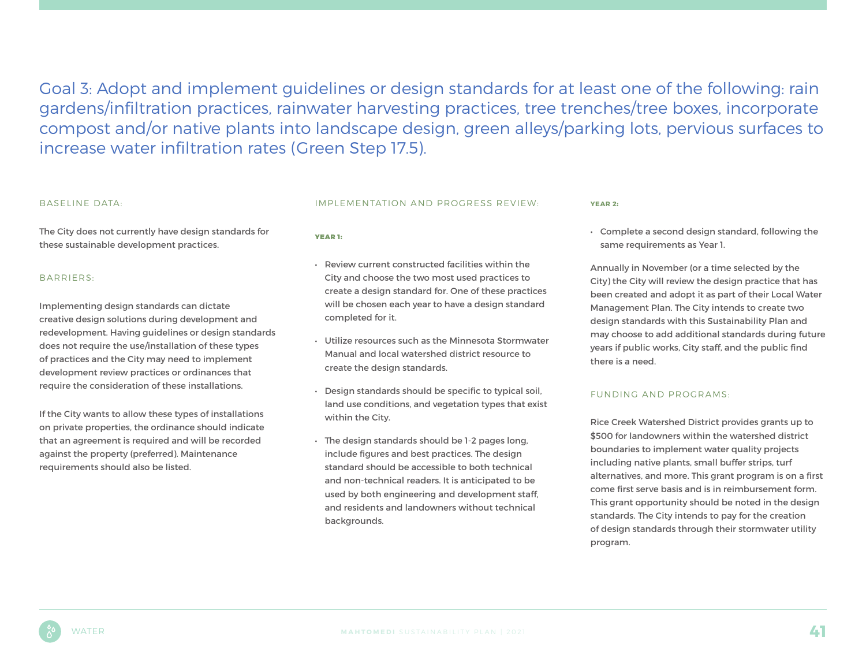Goal 3: Adopt and implement guidelines or design standards for at least one of the following: rain gardens/infiltration practices, rainwater harvesting practices, tree trenches/tree boxes, incorporate compost and/or native plants into landscape design, green alleys/parking lots, pervious surfaces to increase water infiltration rates (Green Step 17.5).

#### BASELINE DATA:

The City does not currently have design standards for these sustainable development practices.

#### BARRIERS:

Implementing design standards can dictate creative design solutions during development and redevelopment. Having guidelines or design standards does not require the use/installation of these types of practices and the City may need to implement development review practices or ordinances that require the consideration of these installations.

If the City wants to allow these types of installations on private properties, the ordinance should indicate that an agreement is required and will be recorded against the property (preferred). Maintenance requirements should also be listed.

#### IMPLEMENTATION AND PROGRESS REVIEW:

#### YEAR 1:

- Review current constructed facilities within the City and choose the two most used practices to create a design standard for. One of these practices will be chosen each year to have a design standard completed for it.
- Utilize resources such as the Minnesota Stormwater Manual and local watershed district resource to create the design standards.
- Design standards should be specific to typical soil, land use conditions, and vegetation types that exist within the City.
- The design standards should be 1-2 pages long, include figures and best practices. The design standard should be accessible to both technical and non-technical readers. It is anticipated to be used by both engineering and development staff, and residents and landowners without technical backgrounds.

#### **YEAR 2**:

• Complete a second design standard, following the same requirements as Year 1.

Annually in November (or a time selected by the City) the City will review the design practice that has been created and adopt it as part of their Local Water Management Plan. The City intends to create two design standards with this Sustainability Plan and may choose to add additional standards during future years if public works, City staff, and the public find there is a need.

#### FUNDING AND PROGRAMS:

Rice Creek Watershed District provides grants up to \$500 for landowners within the watershed district boundaries to implement water quality projects including native plants, small buffer strips, turf alternatives, and more. This grant program is on a first come first serve basis and is in reimbursement form. This grant opportunity should be noted in the design standards. The City intends to pay for the creation of design standards through their stormwater utility program.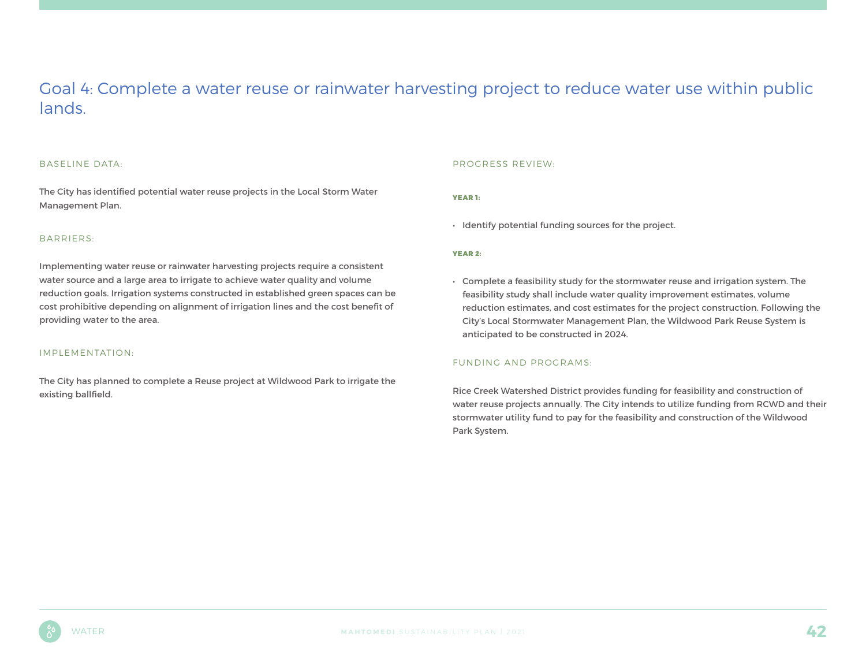### Goal 4: Complete a water reuse or rainwater harvesting project to reduce water use within public lands.

#### BASELINE DATA:

The City has identified potential water reuse projects in the Local Storm Water Management Plan.

#### BARRIERS:

Implementing water reuse or rainwater harvesting projects require a consistent water source and a large area to irrigate to achieve water quality and volume reduction goals. Irrigation systems constructed in established green spaces can be cost prohibitive depending on alignment of irrigation lines and the cost benefit of providing water to the area.

#### IMPLEMENTATION:

The City has planned to complete a Reuse project at Wildwood Park to irrigate the existing ballfield.

#### PROGRESS REVIEW:

#### YEAR 1:

• Identify potential funding sources for the project.

#### YEAR 2:

• Complete a feasibility study for the stormwater reuse and irrigation system. The feasibility study shall include water quality improvement estimates, volume reduction estimates, and cost estimates for the project construction. Following the City's Local Stormwater Management Plan, the Wildwood Park Reuse System is anticipated to be constructed in 2024.

#### FUNDING AND PROGRAMS:

Rice Creek Watershed District provides funding for feasibility and construction of water reuse projects annually. The City intends to utilize funding from RCWD and their stormwater utility fund to pay for the feasibility and construction of the Wildwood Park System.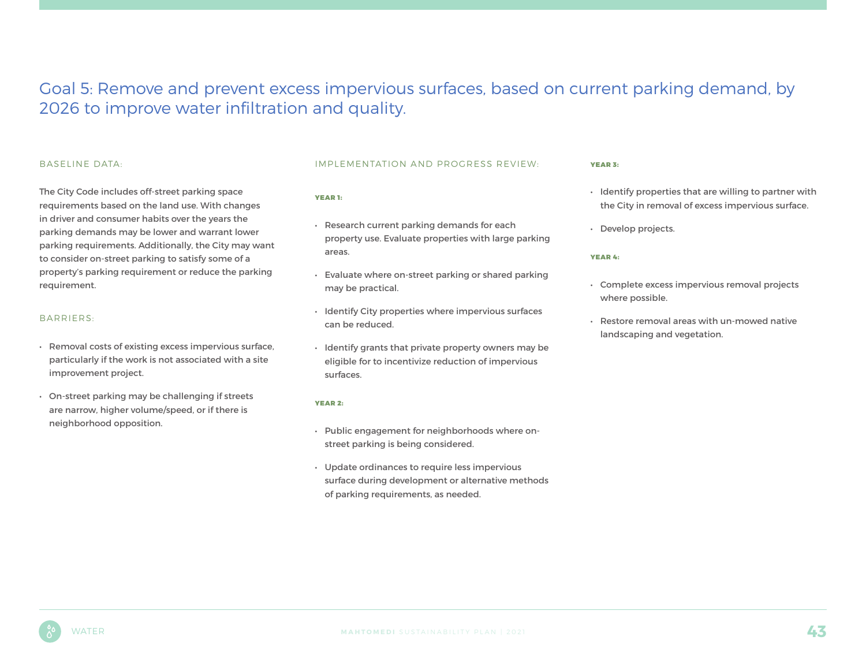### Goal 5: Remove and prevent excess impervious surfaces, based on current parking demand, by 2026 to improve water infiltration and quality.

#### BASELINE DATA:

The City Code includes off-street parking space requirements based on the land use. With changes in driver and consumer habits over the years the parking demands may be lower and warrant lower parking requirements. Additionally, the City may want to consider on-street parking to satisfy some of a property's parking requirement or reduce the parking requirement.

#### BARRIERS:

- Removal costs of existing excess impervious surface, particularly if the work is not associated with a site improvement project.
- On-street parking may be challenging if streets are narrow, higher volume/speed, or if there is neighborhood opposition.

#### IMPLEMENTATION AND PROGRESS REVIEW:

#### YEAR 1:

- Research current parking demands for each property use. Evaluate properties with large parking areas.
- Evaluate where on-street parking or shared parking may be practical.
- Identify City properties where impervious surfaces can be reduced.
- Identify grants that private property owners may be eligible for to incentivize reduction of impervious surfaces.

#### YEAR 2:

- Public engagement for neighborhoods where onstreet parking is being considered.
- Update ordinances to require less impervious surface during development or alternative methods of parking requirements, as needed.

#### YEAR 3:

- Identify properties that are willing to partner with the City in removal of excess impervious surface.
- Develop projects.

#### YEAR 4:

- Complete excess impervious removal projects where possible.
- Restore removal areas with un-mowed native landscaping and vegetation.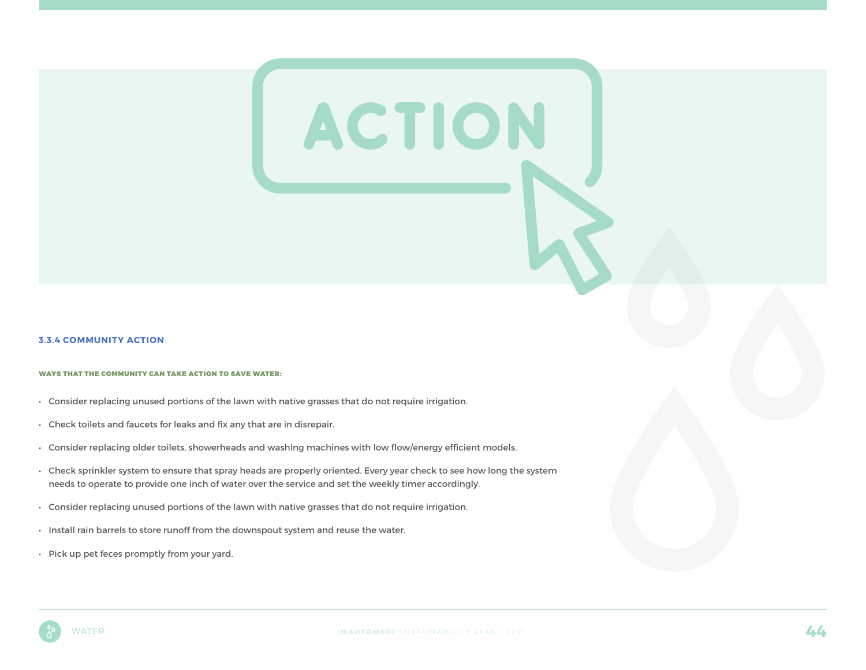#### **3.3.4 COMMUNITY ACTION**

#### WAYS THAT THE COMMUNITY CAN TAKE ACTION TO SAVE WATER:

- Consider replacing unused portions of the lawn with native grasses that do not require irrigation.
- Check toilets and faucets for leaks and fix any that are in disrepair.
- Consider replacing older toilets, showerheads and washing machines with low flow/energy efficient models.
- Check sprinkler system to ensure that spray heads are properly oriented. Every year check to see how long the system needs to operate to provide one inch of water over the service and set the weekly timer accordingly.
- Consider replacing unused portions of the lawn with native grasses that do not require irrigation.
- Install rain barrels to store runoff from the downspout system and reuse the water.
- Pick up pet feces promptly from your yard.

ACTION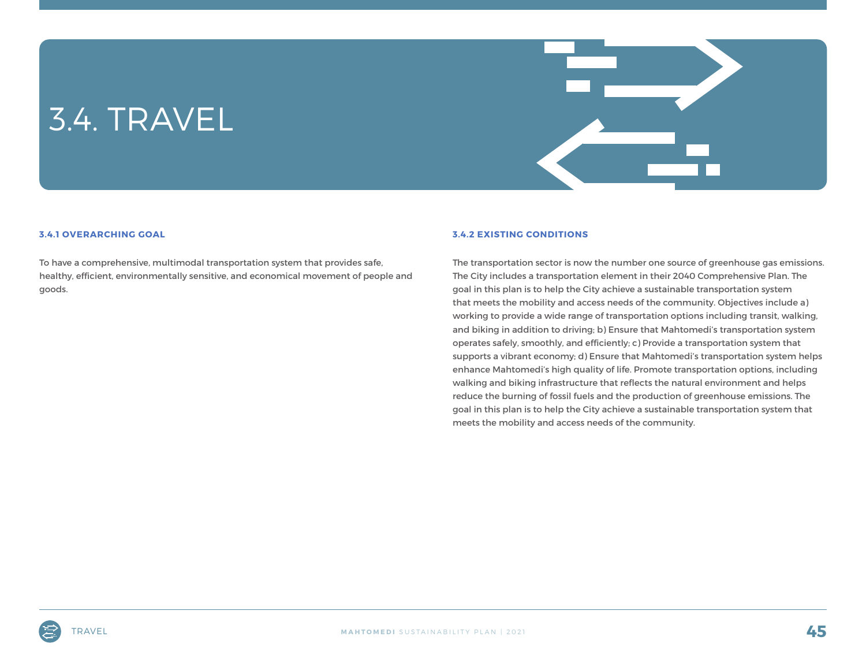## 3.4. TRAVEL



#### **3.4.1 OVERARCHING GOAL**

To have a comprehensive, multimodal transportation system that provides safe, healthy, efficient, environmentally sensitive, and economical movement of people and goods.

#### **3.4.2 EXISTING CONDITIONS**

The transportation sector is now the number one source of greenhouse gas emissions. The City includes a transportation element in their 2040 Comprehensive Plan. The goal in this plan is to help the City achieve a sustainable transportation system that meets the mobility and access needs of the community. Objectives include a) working to provide a wide range of transportation options including transit, walking, and biking in addition to driving; b) Ensure that Mahtomedi's transportation system operates safely, smoothly, and efficiently; c) Provide a transportation system that supports a vibrant economy; d) Ensure that Mahtomedi's transportation system helps enhance Mahtomedi's high quality of life. Promote transportation options, including walking and biking infrastructure that reflects the natural environment and helps reduce the burning of fossil fuels and the production of greenhouse emissions. The goal in this plan is to help the City achieve a sustainable transportation system that meets the mobility and access needs of the community.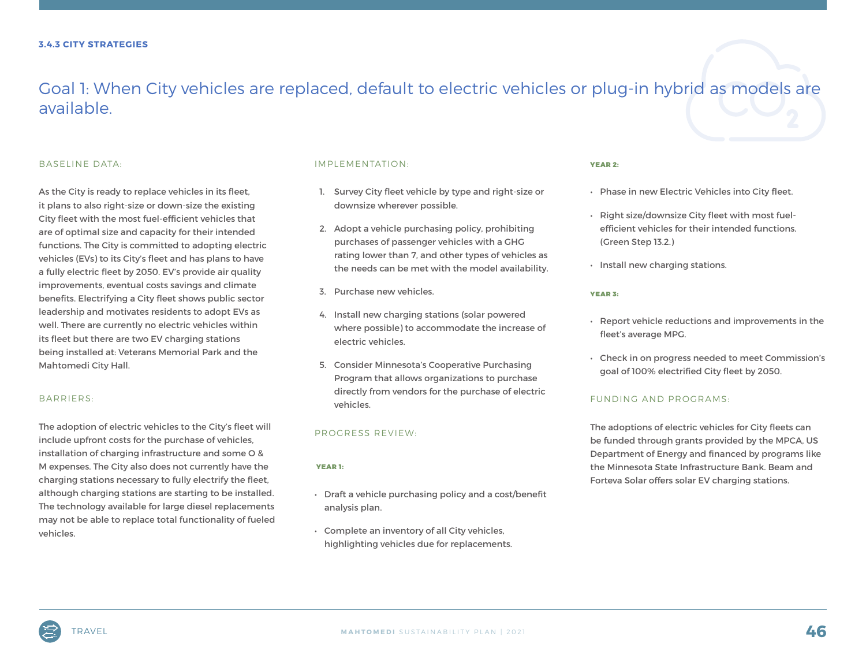### Goal 1: When City vehicles are replaced, default to electric vehicles or plug-in hybrid as models are available.

#### BASELINE DATA:

As the City is ready to replace vehicles in its fleet, it plans to also right-size or down-size the existing City fleet with the most fuel-efficient vehicles that are of optimal size and capacity for their intended functions. The City is committed to adopting electric vehicles (EVs) to its City's fleet and has plans to have a fully electric fleet by 2050. EV's provide air quality improvements, eventual costs savings and climate benefits. Electrifying a City fleet shows public sector leadership and motivates residents to adopt EVs as well. There are currently no electric vehicles within its fleet but there are two EV charging stations being installed at: Veterans Memorial Park and the Mahtomedi City Hall.

#### BARRIERS:

The adoption of electric vehicles to the City's fleet will include upfront costs for the purchase of vehicles, installation of charging infrastructure and some O & M expenses. The City also does not currently have the charging stations necessary to fully electrify the fleet, although charging stations are starting to be installed. The technology available for large diesel replacements may not be able to replace total functionality of fueled vehicles.

#### IMPLEMENTATION:

- 1. Survey City fleet vehicle by type and right-size or downsize wherever possible.
- 2. Adopt a vehicle purchasing policy, prohibiting purchases of passenger vehicles with a GHG rating lower than 7, and other types of vehicles as the needs can be met with the model availability.
- 3. Purchase new vehicles.
- 4. Install new charging stations (solar powered where possible) to accommodate the increase of electric vehicles.
- 5. Consider Minnesota's Cooperative Purchasing Program that allows organizations to purchase directly from vendors for the purchase of electric vehicles.

#### PROGRESS REVIEW:

#### YEAR 1:

- Draft a vehicle purchasing policy and a cost/benefit analysis plan.
- Complete an inventory of all City vehicles, highlighting vehicles due for replacements.

#### YEAR 2:

- Phase in new Electric Vehicles into City fleet.
- Right size/downsize City fleet with most fuelefficient vehicles for their intended functions. (Green Step 13.2.)
- Install new charging stations.

#### YEAR 3:

- Report vehicle reductions and improvements in the fleet's average MPG.
- Check in on progress needed to meet Commission's goal of 100% electrified City fleet by 2050.

#### FUNDING AND PROGRAMS:

The adoptions of electric vehicles for City fleets can be funded through grants provided by the MPCA, US Department of Energy and financed by programs like the Minnesota State Infrastructure Bank. Beam and Forteva Solar offers solar EV charging stations.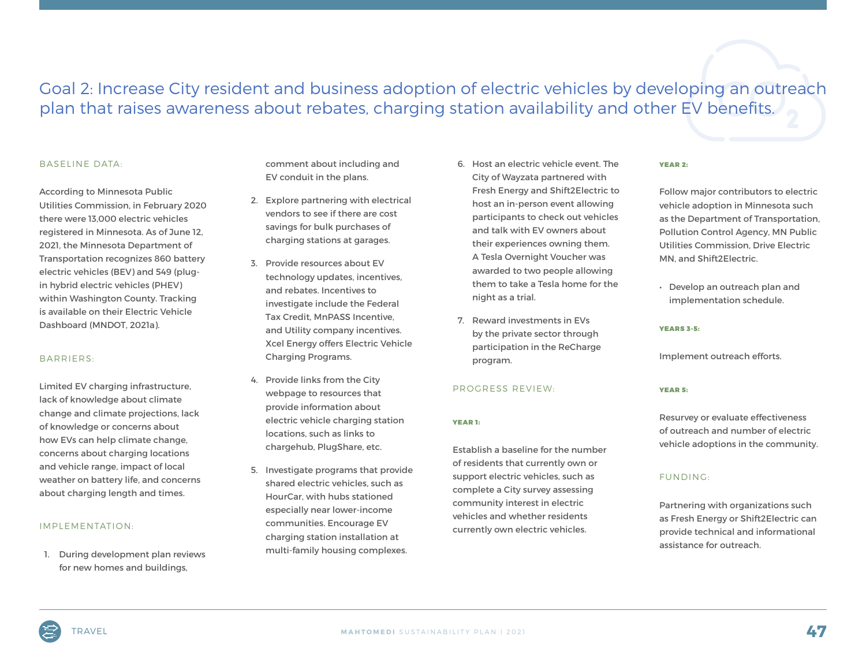### Goal 2: Increase City resident and business adoption of electric vehicles by developing an outreach plan that raises awareness about rebates, charging station availability and other EV benefits.

#### BASELINE DATA:

According to Minnesota Public Utilities Commission, in February 2020 there were 13,000 electric vehicles registered in Minnesota. As of June 12, 2021, the Minnesota Department of Transportation recognizes 860 battery electric vehicles (BEV) and 549 (plugin hybrid electric vehicles (PHEV) within Washington County. Tracking is available on their Electric Vehicle Dashboard (MNDOT, 2021a).

#### BARRIERS:

Limited EV charging infrastructure, lack of knowledge about climate change and climate projections, lack of knowledge or concerns about how EVs can help climate change, concerns about charging locations and vehicle range, impact of local weather on battery life, and concerns about charging length and times.

#### IMPLEMENTATION:

1. During development plan reviews for new homes and buildings,

comment about including and EV conduit in the plans.

- 2. Explore partnering with electrical vendors to see if there are cost savings for bulk purchases of charging stations at garages.
- 3. Provide resources about EV technology updates, incentives, and rebates. Incentives to investigate include the Federal Tax Credit, MnPASS Incentive, and Utility company incentives. Xcel Energy offers Electric Vehicle Charging Programs.
- 4. Provide links from the City webpage to resources that provide information about electric vehicle charging station locations, such as links to chargehub, PlugShare, etc.
- 5. Investigate programs that provide shared electric vehicles, such as HourCar, with hubs stationed especially near lower-income communities. Encourage EV charging station installation at multi-family housing complexes.
- 6. Host an electric vehicle event. The City of Wayzata partnered with Fresh Energy and Shift2Electric to host an in-person event allowing participants to check out vehicles and talk with EV owners about their experiences owning them. A Tesla Overnight Voucher was awarded to two people allowing them to take a Tesla home for the night as a trial.
- 7. Reward investments in EVs by the private sector through participation in the ReCharge program.

#### PROGRESS REVIEW:

#### YEAR 1:

Establish a baseline for the number of residents that currently own or support electric vehicles, such as complete a City survey assessing community interest in electric vehicles and whether residents currently own electric vehicles.

#### YEAR 2:

Follow major contributors to electric vehicle adoption in Minnesota such as the Department of Transportation, Pollution Control Agency, MN Public Utilities Commission, Drive Electric MN, and Shift2Electric.

• Develop an outreach plan and implementation schedule.

#### YEARS 3-5:

Implement outreach efforts.

#### YEAR 5:

Resurvey or evaluate effectiveness of outreach and number of electric vehicle adoptions in the community.

#### FUNDING:

Partnering with organizations such as Fresh Energy or Shift2Electric can provide technical and informational assistance for outreach.

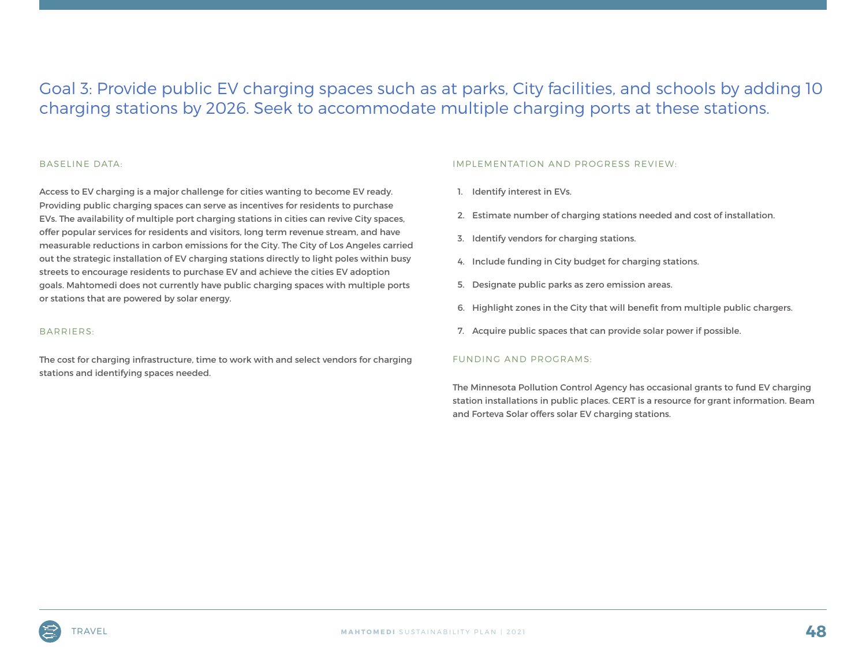### Goal 3: Provide public EV charging spaces such as at parks, City facilities, and schools by adding 10 charging stations by 2026. Seek to accommodate multiple charging ports at these stations.

#### BASELINE DATA:

Access to EV charging is a major challenge for cities wanting to become EV ready. Providing public charging spaces can serve as incentives for residents to purchase EVs. The availability of multiple port charging stations in cities can revive City spaces, offer popular services for residents and visitors, long term revenue stream, and have measurable reductions in carbon emissions for the City. The City of Los Angeles carried out the strategic installation of EV charging stations directly to light poles within busy streets to encourage residents to purchase EV and achieve the cities EV adoption goals. Mahtomedi does not currently have public charging spaces with multiple ports or stations that are powered by solar energy.

#### BARRIERS:

The cost for charging infrastructure, time to work with and select vendors for charging stations and identifying spaces needed.

#### IMPLEMENTATION AND PROGRESS REVIEW:

- 1. Identify interest in EVs.
- 2. Estimate number of charging stations needed and cost of installation.
- 3. Identify vendors for charging stations.
- 4. Include funding in City budget for charging stations.
- 5. Designate public parks as zero emission areas.
- 6. Highlight zones in the City that will benefit from multiple public chargers.
- 7. Acquire public spaces that can provide solar power if possible.

#### FUNDING AND PROGRAMS:

The Minnesota Pollution Control Agency has occasional grants to fund EV charging station installations in public places. CERT is a resource for grant information. Beam and Forteva Solar offers solar EV charging stations.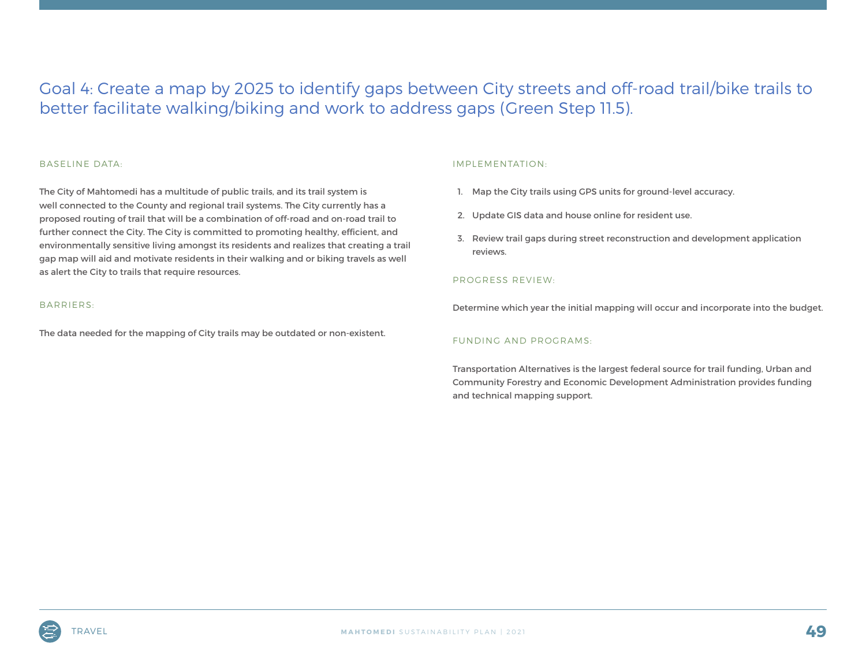### Goal 4: Create a map by 2025 to identify gaps between City streets and off-road trail/bike trails to better facilitate walking/biking and work to address gaps (Green Step 11.5).

#### BASELINE DATA:

The City of Mahtomedi has a multitude of public trails, and its trail system is well connected to the County and regional trail systems. The City currently has a proposed routing of trail that will be a combination of off-road and on-road trail to further connect the City. The City is committed to promoting healthy, efficient, and environmentally sensitive living amongst its residents and realizes that creating a trail gap map will aid and motivate residents in their walking and or biking travels as well as alert the City to trails that require resources.

#### BARRIERS:

The data needed for the mapping of City trails may be outdated or non-existent.

#### IMPLEMENTATION:

- 1. Map the City trails using GPS units for ground-level accuracy.
- 2. Update GIS data and house online for resident use.
- 3. Review trail gaps during street reconstruction and development application reviews.

#### PROGRESS REVIEW:

Determine which year the initial mapping will occur and incorporate into the budget.

#### FUNDING AND PROGRAMS:

Transportation Alternatives is the largest federal source for trail funding, Urban and Community Forestry and Economic Development Administration provides funding and technical mapping support.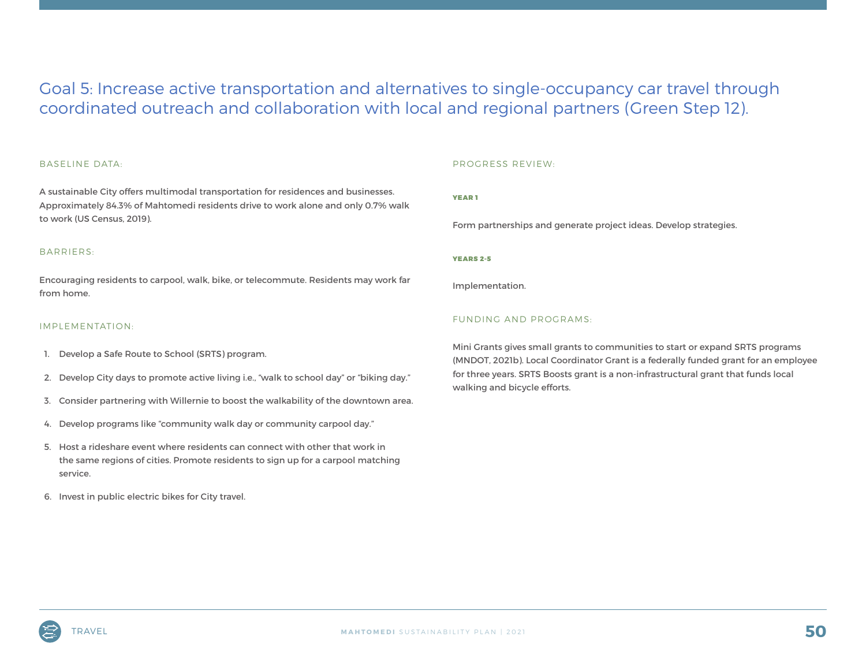### Goal 5: Increase active transportation and alternatives to single-occupancy car travel through coordinated outreach and collaboration with local and regional partners (Green Step 12).

#### BASELINE DATA:

A sustainable City offers multimodal transportation for residences and businesses. Approximately 84.3% of Mahtomedi residents drive to work alone and only 0.7% walk to work (US Census, 2019).

#### BARRIERS:

Encouraging residents to carpool, walk, bike, or telecommute. Residents may work far from home.

#### IMPLEMENTATION:

- 1. Develop a Safe Route to School (SRTS) program.
- 2. Develop City days to promote active living i.e., "walk to school day" or "biking day."
- 3. Consider partnering with Willernie to boost the walkability of the downtown area.
- 4. Develop programs like "community walk day or community carpool day."
- 5. Host a rideshare event where residents can connect with other that work in the same regions of cities. Promote residents to sign up for a carpool matching service.
- 6. Invest in public electric bikes for City travel.

#### PROGRESS REVIEW:

YEAR 1

Form partnerships and generate project ideas. Develop strategies.

YEARS 2-5

Implementation.

#### FUNDING AND PROGRAMS:

Mini Grants gives small grants to communities to start or expand SRTS programs (MNDOT, 2021b). Local Coordinator Grant is a federally funded grant for an employee for three years. SRTS Boosts grant is a non-infrastructural grant that funds local walking and bicycle efforts.

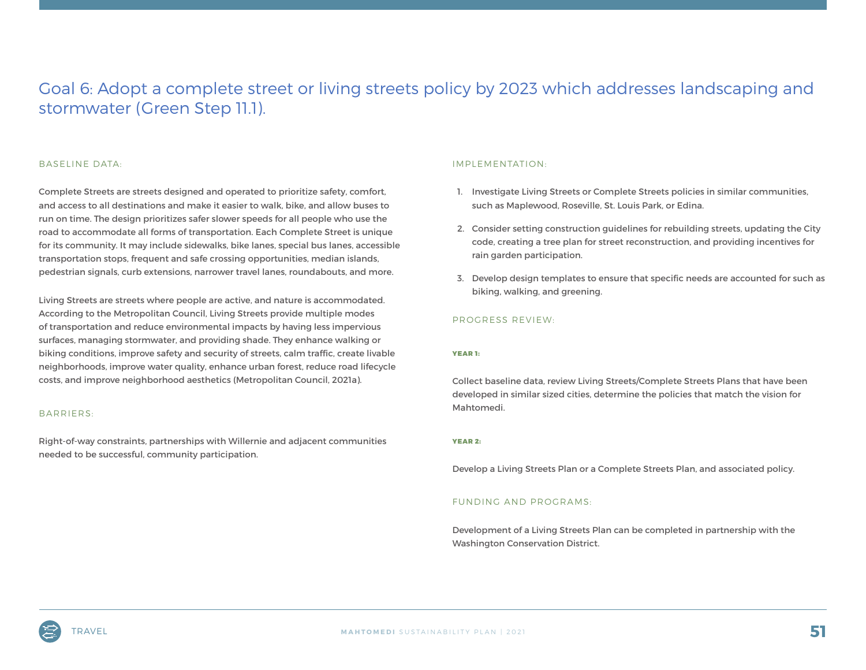### Goal 6: Adopt a complete street or living streets policy by 2023 which addresses landscaping and stormwater (Green Step 11.1).

#### BASELINE DATA:

Complete Streets are streets designed and operated to prioritize safety, comfort, and access to all destinations and make it easier to walk, bike, and allow buses to run on time. The design prioritizes safer slower speeds for all people who use the road to accommodate all forms of transportation. Each Complete Street is unique for its community. It may include sidewalks, bike lanes, special bus lanes, accessible transportation stops, frequent and safe crossing opportunities, median islands, pedestrian signals, curb extensions, narrower travel lanes, roundabouts, and more.

Living Streets are streets where people are active, and nature is accommodated. According to the Metropolitan Council, Living Streets provide multiple modes of transportation and reduce environmental impacts by having less impervious surfaces, managing stormwater, and providing shade. They enhance walking or biking conditions, improve safety and security of streets, calm traffic, create livable neighborhoods, improve water quality, enhance urban forest, reduce road lifecycle costs, and improve neighborhood aesthetics (Metropolitan Council, 2021a).

#### BARRIERS:

Right-of-way constraints, partnerships with Willernie and adjacent communities needed to be successful, community participation.

#### IMPLEMENTATION:

- 1. Investigate Living Streets or Complete Streets policies in similar communities, such as Maplewood, Roseville, St. Louis Park, or Edina.
- 2. Consider setting construction guidelines for rebuilding streets, updating the City code, creating a tree plan for street reconstruction, and providing incentives for rain garden participation.
- 3. Develop design templates to ensure that specific needs are accounted for such as biking, walking, and greening.

#### PROGRESS REVIEW:

#### YEAR 1:

Collect baseline data, review Living Streets/Complete Streets Plans that have been developed in similar sized cities, determine the policies that match the vision for Mahtomedi.

#### YEAR 2:

Develop a Living Streets Plan or a Complete Streets Plan, and associated policy.

#### FUNDING AND PROGRAMS:

Development of a Living Streets Plan can be completed in partnership with the Washington Conservation District.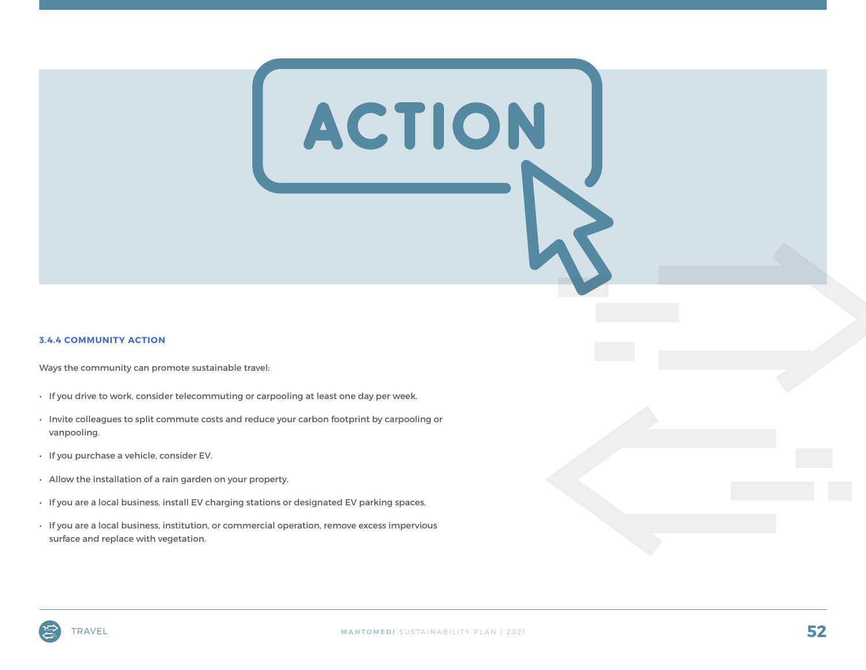#### **3.4.4 COMMUNITY ACTION**

Ways the community can promote sustainable travel:

- If you drive to work, consider telecommuting or carpooling at least one day per week.
- Invite colleagues to split commute costs and reduce your carbon footprint by carpooling or vanpooling.
- If you purchase a vehicle, consider EV.
- Allow the installation of a rain garden on your property.
- If you are a local business, install EV charging stations or designated EV parking spaces.
- If you are a local business, institution, or commercial operation, remove excess impervious surface and replace with vegetation.

ACTION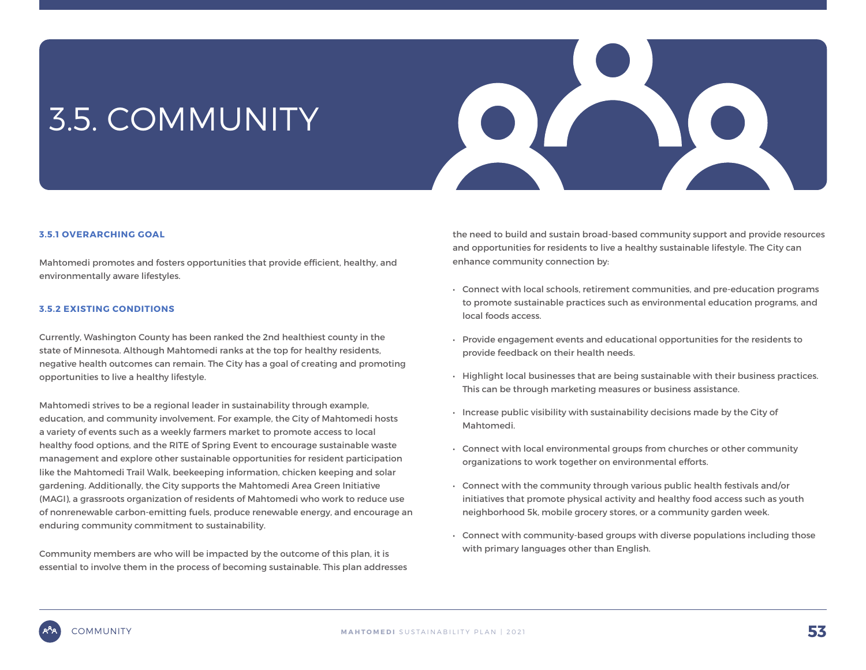## 3.5. COMMUNITY



#### **3.5.1 OVERARCHING GOAL**

Mahtomedi promotes and fosters opportunities that provide efficient, healthy, and environmentally aware lifestyles.

#### **3.5.2 EXISTING CONDITIONS**

Currently, Washington County has been ranked the 2nd healthiest county in the state of Minnesota. Although Mahtomedi ranks at the top for healthy residents, negative health outcomes can remain. The City has a goal of creating and promoting opportunities to live a healthy lifestyle.

Mahtomedi strives to be a regional leader in sustainability through example, education, and community involvement. For example, the City of Mahtomedi hosts a variety of events such as a weekly farmers market to promote access to local healthy food options, and the RITE of Spring Event to encourage sustainable waste management and explore other sustainable opportunities for resident participation like the Mahtomedi Trail Walk, beekeeping information, chicken keeping and solar gardening. Additionally, the City supports the Mahtomedi Area Green Initiative (MAGI), a grassroots organization of residents of Mahtomedi who work to reduce use of nonrenewable carbon-emitting fuels, produce renewable energy, and encourage an enduring community commitment to sustainability.

Community members are who will be impacted by the outcome of this plan, it is essential to involve them in the process of becoming sustainable. This plan addresses the need to build and sustain broad-based community support and provide resources and opportunities for residents to live a healthy sustainable lifestyle. The City can enhance community connection by:

- Connect with local schools, retirement communities, and pre-education programs to promote sustainable practices such as environmental education programs, and local foods access.
- Provide engagement events and educational opportunities for the residents to provide feedback on their health needs.
- Highlight local businesses that are being sustainable with their business practices. This can be through marketing measures or business assistance.
- Increase public visibility with sustainability decisions made by the City of Mahtomedi.
- Connect with local environmental groups from churches or other community organizations to work together on environmental efforts.
- Connect with the community through various public health festivals and/or initiatives that promote physical activity and healthy food access such as youth neighborhood 5k, mobile grocery stores, or a community garden week.
- Connect with community-based groups with diverse populations including those with primary languages other than English.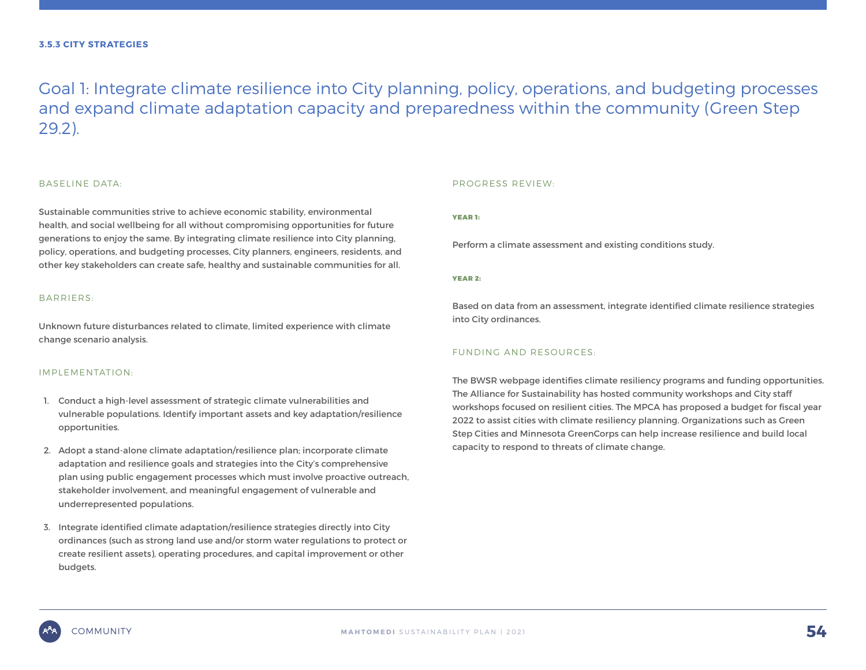Goal 1: Integrate climate resilience into City planning, policy, operations, and budgeting processes and expand climate adaptation capacity and preparedness within the community (Green Step 29.2).

#### BASELINE DATA:

Sustainable communities strive to achieve economic stability, environmental health, and social wellbeing for all without compromising opportunities for future generations to enjoy the same. By integrating climate resilience into City planning, policy, operations, and budgeting processes, City planners, engineers, residents, and other key stakeholders can create safe, healthy and sustainable communities for all.

#### BARRIERS:

Unknown future disturbances related to climate, limited experience with climate change scenario analysis.

#### IMPLEMENTATION:

- 1. Conduct a high-level assessment of strategic climate vulnerabilities and vulnerable populations. Identify important assets and key adaptation/resilience opportunities.
- 2. Adopt a stand-alone climate adaptation/resilience plan; incorporate climate adaptation and resilience goals and strategies into the City's comprehensive plan using public engagement processes which must involve proactive outreach, stakeholder involvement, and meaningful engagement of vulnerable and underrepresented populations.
- 3. Integrate identified climate adaptation/resilience strategies directly into City ordinances (such as strong land use and/or storm water regulations to protect or create resilient assets), operating procedures, and capital improvement or other budgets.

#### PROGRESS REVIEW:

#### YEAR 1:

Perform a climate assessment and existing conditions study.

#### YEAR 2:

Based on data from an assessment, integrate identified climate resilience strategies into City ordinances.

#### FUNDING AND RESOURCES:

The BWSR webpage identifies climate resiliency programs and funding opportunities. The Alliance for Sustainability has hosted community workshops and City staff workshops focused on resilient cities. The MPCA has proposed a budget for fiscal year 2022 to assist cities with climate resiliency planning. Organizations such as Green Step Cities and Minnesota GreenCorps can help increase resilience and build local capacity to respond to threats of climate change.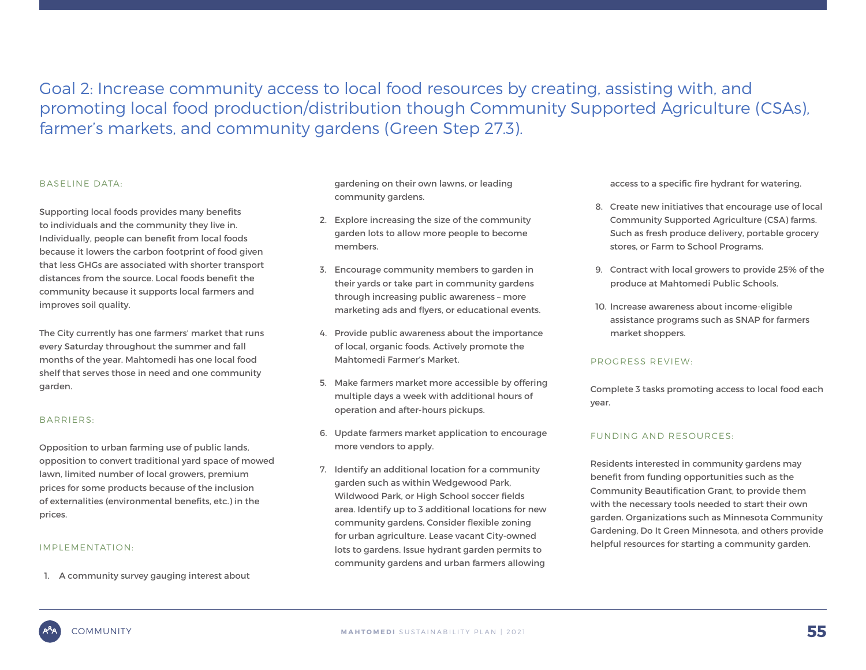Goal 2: Increase community access to local food resources by creating, assisting with, and promoting local food production/distribution though Community Supported Agriculture (CSAs), farmer's markets, and community gardens (Green Step 27.3).

#### BASELINE DATA:

Supporting local foods provides many benefits to individuals and the community they live in. Individually, people can benefit from local foods because it lowers the carbon footprint of food given that less GHGs are associated with shorter transport distances from the source. Local foods benefit the community because it supports local farmers and improves soil quality.

The City currently has one farmers' market that runs every Saturday throughout the summer and fall months of the year. Mahtomedi has one local food shelf that serves those in need and one community garden.

#### BARRIERS:

Opposition to urban farming use of public lands, opposition to convert traditional yard space of mowed lawn, limited number of local growers, premium prices for some products because of the inclusion of externalities (environmental benefits, etc.) in the prices.

#### IMPLEMENTATION:

1. A community survey gauging interest about

gardening on their own lawns, or leading community gardens.

- 2. Explore increasing the size of the community garden lots to allow more people to become members.
- 3. Encourage community members to garden in their yards or take part in community gardens through increasing public awareness – more marketing ads and flyers, or educational events.
- 4. Provide public awareness about the importance of local, organic foods. Actively promote the Mahtomedi Farmer's Market.
- 5. Make farmers market more accessible by offering multiple days a week with additional hours of operation and after-hours pickups.
- 6. Update farmers market application to encourage more vendors to apply.
- 7. Identify an additional location for a community garden such as within Wedgewood Park, Wildwood Park, or High School soccer fields area. Identify up to 3 additional locations for new community gardens. Consider flexible zoning for urban agriculture. Lease vacant City-owned lots to gardens. Issue hydrant garden permits to community gardens and urban farmers allowing

access to a specific fire hydrant for watering.

- 8. Create new initiatives that encourage use of local Community Supported Agriculture (CSA) farms. Such as fresh produce delivery, portable grocery stores, or Farm to School Programs.
- 9. Contract with local growers to provide 25% of the produce at Mahtomedi Public Schools.
- 10. Increase awareness about income-eligible assistance programs such as SNAP for farmers market shoppers.

#### PROGRESS REVIEW:

Complete 3 tasks promoting access to local food each year.

#### FUNDING AND RESOURCES:

Residents interested in community gardens may benefit from funding opportunities such as the Community Beautification Grant, to provide them with the necessary tools needed to start their own garden. Organizations such as Minnesota Community Gardening, Do It Green Minnesota, and others provide helpful resources for starting a community garden.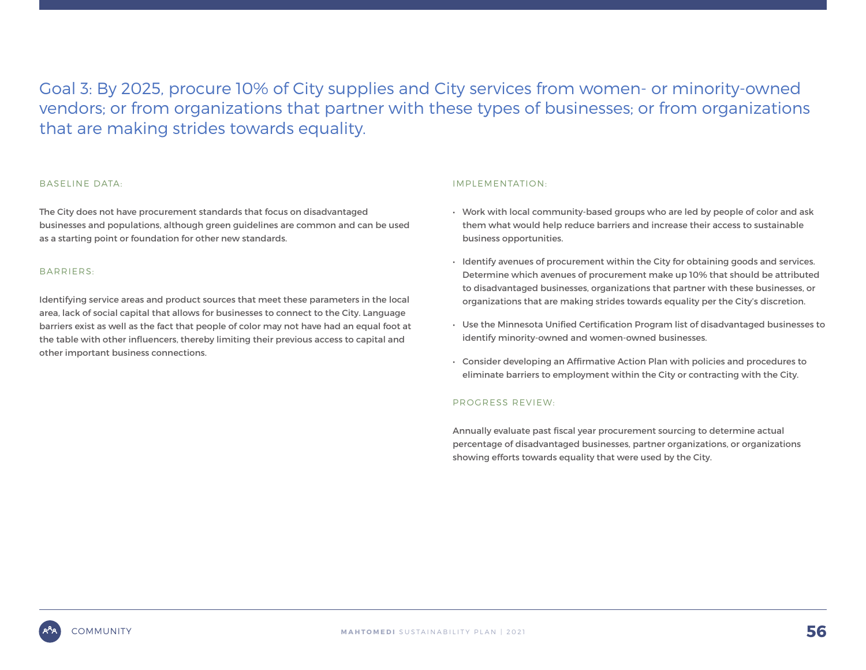Goal 3: By 2025, procure 10% of City supplies and City services from women- or minority-owned vendors; or from organizations that partner with these types of businesses; or from organizations that are making strides towards equality.

#### BASELINE DATA:

The City does not have procurement standards that focus on disadvantaged businesses and populations, although green guidelines are common and can be used as a starting point or foundation for other new standards.

#### BARRIERS:

Identifying service areas and product sources that meet these parameters in the local area, lack of social capital that allows for businesses to connect to the City. Language barriers exist as well as the fact that people of color may not have had an equal foot at the table with other influencers, thereby limiting their previous access to capital and other important business connections.

#### IMPLEMENTATION:

- Work with local community-based groups who are led by people of color and ask them what would help reduce barriers and increase their access to sustainable business opportunities.
- Identify avenues of procurement within the City for obtaining goods and services. Determine which avenues of procurement make up 10% that should be attributed to disadvantaged businesses, organizations that partner with these businesses, or organizations that are making strides towards equality per the City's discretion.
- Use the Minnesota Unified Certification Program list of disadvantaged businesses to identify minority-owned and women-owned businesses.
- Consider developing an Affirmative Action Plan with policies and procedures to eliminate barriers to employment within the City or contracting with the City.

#### PROGRESS REVIEW:

Annually evaluate past fiscal year procurement sourcing to determine actual percentage of disadvantaged businesses, partner organizations, or organizations showing efforts towards equality that were used by the City.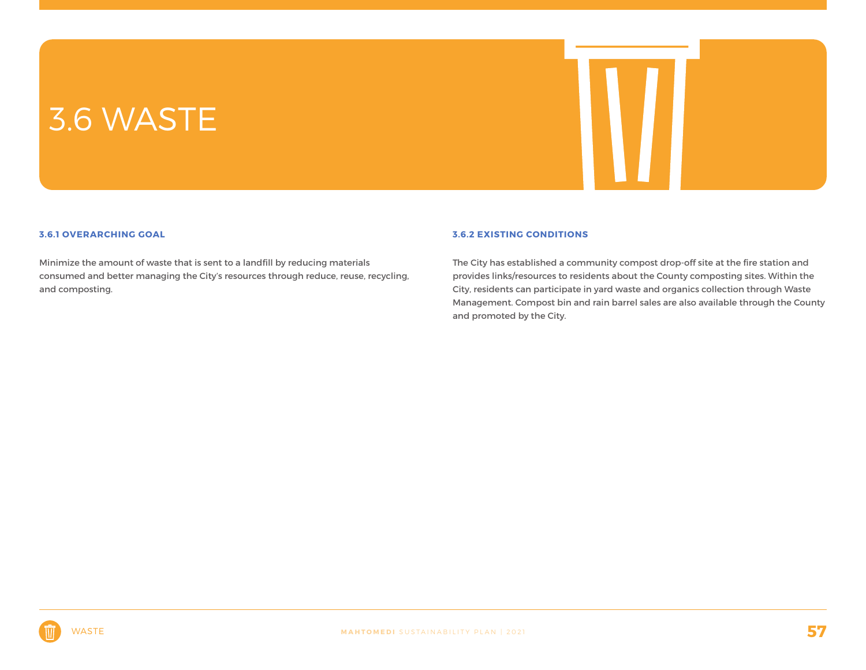### 3.6 WASTE



#### **3.6.1 OVERARCHING GOAL**

Minimize the amount of waste that is sent to a landfill by reducing materials consumed and better managing the City's resources through reduce, reuse, recycling, and composting.

#### **3.6.2 EXISTING CONDITIONS**

The City has established a community compost drop-off site at the fire station and provides links/resources to residents about the County composting sites. Within the City, residents can participate in yard waste and organics collection through Waste Management. Compost bin and rain barrel sales are also available through the County and promoted by the City.

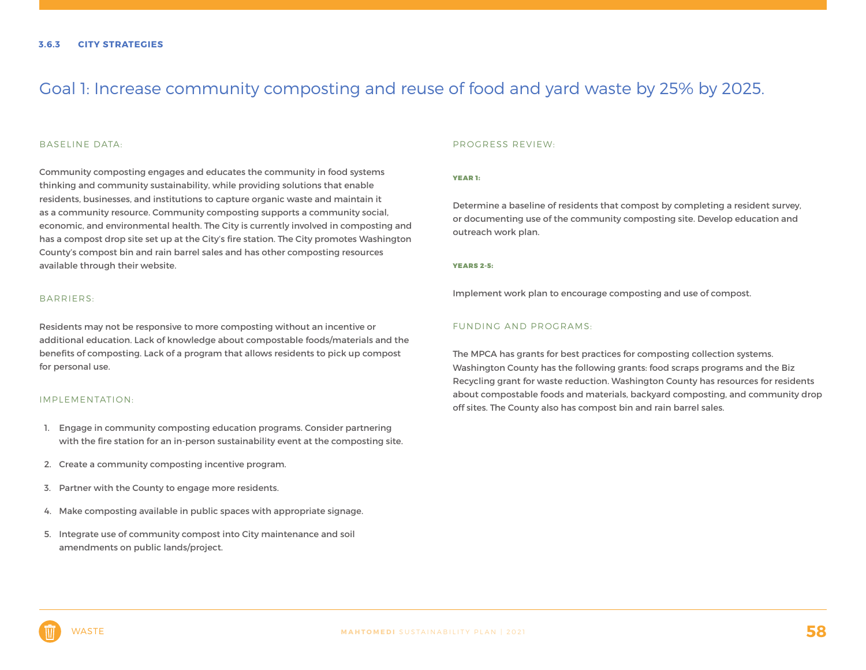### Goal 1: Increase community composting and reuse of food and yard waste by 25% by 2025.

#### BASELINE DATA:

Community composting engages and educates the community in food systems thinking and community sustainability, while providing solutions that enable residents, businesses, and institutions to capture organic waste and maintain it as a community resource. Community composting supports a community social, economic, and environmental health. The City is currently involved in composting and has a compost drop site set up at the City's fire station. The City promotes Washington County's compost bin and rain barrel sales and has other composting resources available through their website.

#### BARRIERS:

Residents may not be responsive to more composting without an incentive or additional education. Lack of knowledge about compostable foods/materials and the benefits of composting. Lack of a program that allows residents to pick up compost for personal use.

#### IMPLEMENTATION:

- 1. Engage in community composting education programs. Consider partnering with the fire station for an in-person sustainability event at the composting site.
- 2. Create a community composting incentive program.
- 3. Partner with the County to engage more residents.
- 4. Make composting available in public spaces with appropriate signage.
- 5. Integrate use of community compost into City maintenance and soil amendments on public lands/project.

#### PROGRESS REVIEW:

#### YEAR 1:

Determine a baseline of residents that compost by completing a resident survey, or documenting use of the community composting site. Develop education and outreach work plan.

#### YEARS 2-5:

Implement work plan to encourage composting and use of compost.

#### FUNDING AND PROGRAMS:

The MPCA has grants for best practices for composting collection systems. Washington County has the following grants: food scraps programs and the Biz Recycling grant for waste reduction. Washington County has resources for residents about compostable foods and materials, backyard composting, and community drop off sites. The County also has compost bin and rain barrel sales.

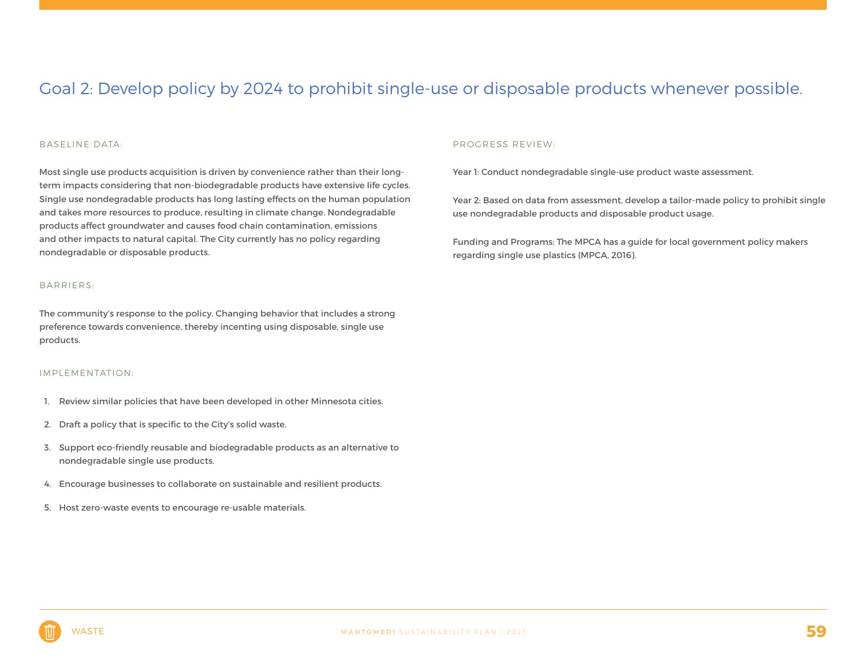### Goal 2: Develop policy by 2024 to prohibit single-use or disposable products whenever possible.

#### BASELINE DATA:

Most single use products acquisition is driven by convenience rather than their longterm impacts considering that non-biodegradable products have extensive life cycles. Single use nondegradable products has long lasting effects on the human population and takes more resources to produce, resulting in climate change. Nondegradable products affect groundwater and causes food chain contamination, emissions and other impacts to natural capital. The City currently has no policy regarding nondegradable or disposable products.

#### BARRIERS:

The community's response to the policy. Changing behavior that includes a strong preference towards convenience, thereby incenting using disposable, single use products.

#### IMPLEMENTATION:

- 1. Review similar policies that have been developed in other Minnesota cities.
- 2. Draft a policy that is specific to the City's solid waste.
- 3. Support eco-friendly reusable and biodegradable products as an alternative to nondegradable single use products.
- 4. Encourage businesses to collaborate on sustainable and resilient products.
- 5. Host zero-waste events to encourage re-usable materials.

#### PROGRESS REVIEW:

Year 1: Conduct nondegradable single-use product waste assessment.

Year 2: Based on data from assessment, develop a tailor-made policy to prohibit single use nondegradable products and disposable product usage.

Funding and Programs: The MPCA has a guide for local government policy makers regarding single use plastics (MPCA, 2016).

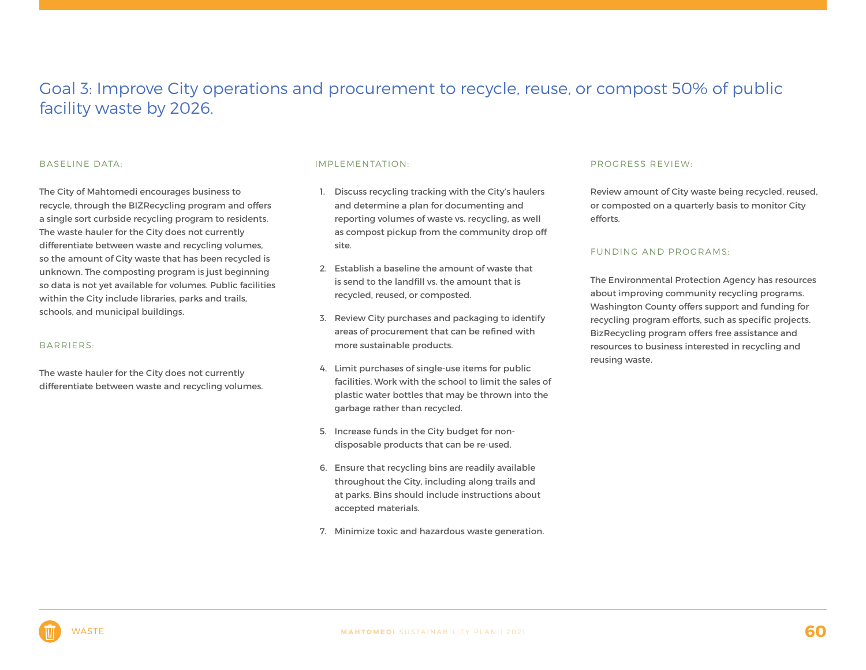### Goal 3: Improve City operations and procurement to recycle, reuse, or compost 50% of public facility waste by 2026.

#### BASELINE DATA:

The City of Mahtomedi encourages business to recycle, through the BIZRecycling program and offers a single sort curbside recycling program to residents. The waste hauler for the City does not currently differentiate between waste and recycling volumes, so the amount of City waste that has been recycled is unknown. The composting program is just beginning so data is not yet available for volumes. Public facilities within the City include libraries, parks and trails, schools, and municipal buildings.

#### BARRIERS:

The waste hauler for the City does not currently differentiate between waste and recycling volumes.

#### IMPLEMENTATION:

- 1. Discuss recycling tracking with the City's haulers and determine a plan for documenting and reporting volumes of waste vs. recycling, as well as compost pickup from the community drop off site.
- 2. Establish a baseline the amount of waste that is send to the landfill vs. the amount that is recycled, reused, or composted.
- 3. Review City purchases and packaging to identify areas of procurement that can be refined with more sustainable products.
- 4. Limit purchases of single-use items for public facilities. Work with the school to limit the sales of plastic water bottles that may be thrown into the garbage rather than recycled.
- 5. Increase funds in the City budget for nondisposable products that can be re-used.
- 6. Ensure that recycling bins are readily available throughout the City, including along trails and at parks. Bins should include instructions about accepted materials.
- 7. Minimize toxic and hazardous waste generation.

#### PROGRESS REVIEW:

Review amount of City waste being recycled, reused, or composted on a quarterly basis to monitor City efforts.

#### FUNDING AND PROGRAMS:

The Environmental Protection Agency has resources about improving community recycling programs. Washington County offers support and funding for recycling program efforts, such as specific projects. BizRecycling program offers free assistance and resources to business interested in recycling and reusing waste.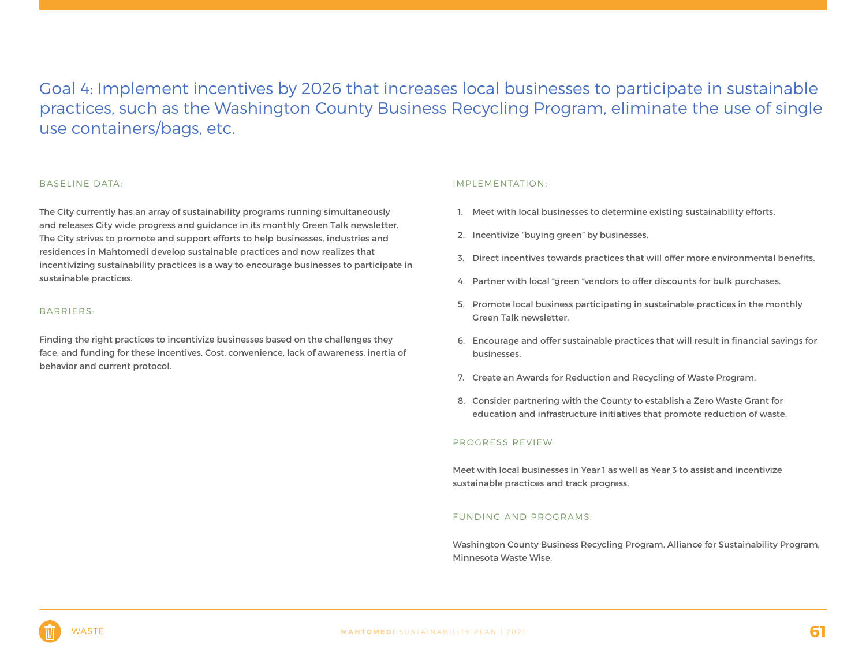Goal 4: Implement incentives by 2026 that increases local businesses to participate in sustainable practices, such as the Washington County Business Recycling Program, eliminate the use of single use containers/bags, etc.

#### BASELINE DATA:

The City currently has an array of sustainability programs running simultaneously and releases City wide progress and guidance in its monthly Green Talk newsletter. The City strives to promote and support efforts to help businesses, industries and residences in Mahtomedi develop sustainable practices and now realizes that incentivizing sustainability practices is a way to encourage businesses to participate in sustainable practices.

#### BARRIERS:

Finding the right practices to incentivize businesses based on the challenges they face, and funding for these incentives. Cost, convenience, lack of awareness, inertia of behavior and current protocol.

#### IMPLEMENTATION:

- 1. Meet with local businesses to determine existing sustainability efforts.
- 2. Incentivize "buying green" by businesses.
- 3. Direct incentives towards practices that will offer more environmental benefits.
- 4. Partner with local "green "vendors to offer discounts for bulk purchases.
- 5. Promote local business participating in sustainable practices in the monthly Green Talk newsletter.
- 6. Encourage and offer sustainable practices that will result in financial savings for businesses.
- 7. Create an Awards for Reduction and Recycling of Waste Program.
- 8. Consider partnering with the County to establish a Zero Waste Grant for education and infrastructure initiatives that promote reduction of waste.

#### PROGRESS REVIEW:

Meet with local businesses in Year 1 as well as Year 3 to assist and incentivize sustainable practices and track progress.

#### FUNDING AND PROGRAMS:

Washington County Business Recycling Program, Alliance for Sustainability Program, Minnesota Waste Wise.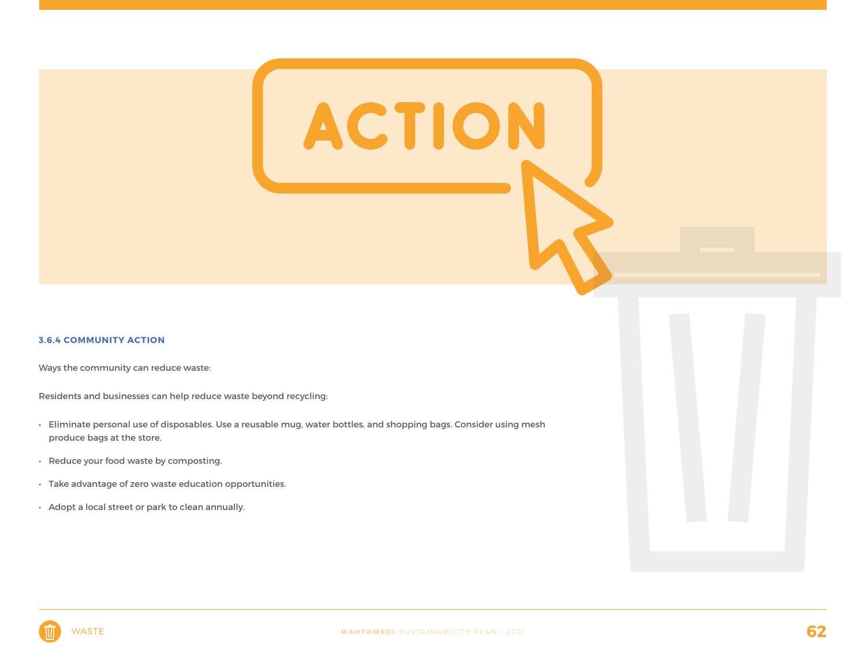#### **3.6.4 COMMUNITY ACTION**

Ways the community can reduce waste:

Residents and businesses can help reduce waste beyond recycling:

- Eliminate personal use of disposables. Use a reusable mug, water bottles, and shopping bags. Consider using mesh produce bags at the store.
- Reduce your food waste by composting.
- Take advantage of zero waste education opportunities.
- Adopt a local street or park to clean annually.

ACTION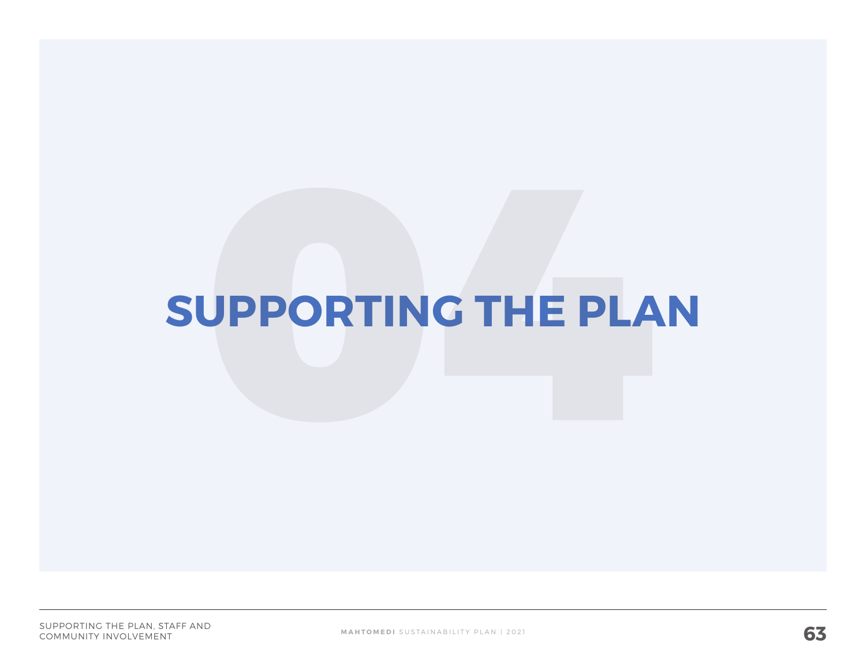# **SUPPORTING THE PLAN**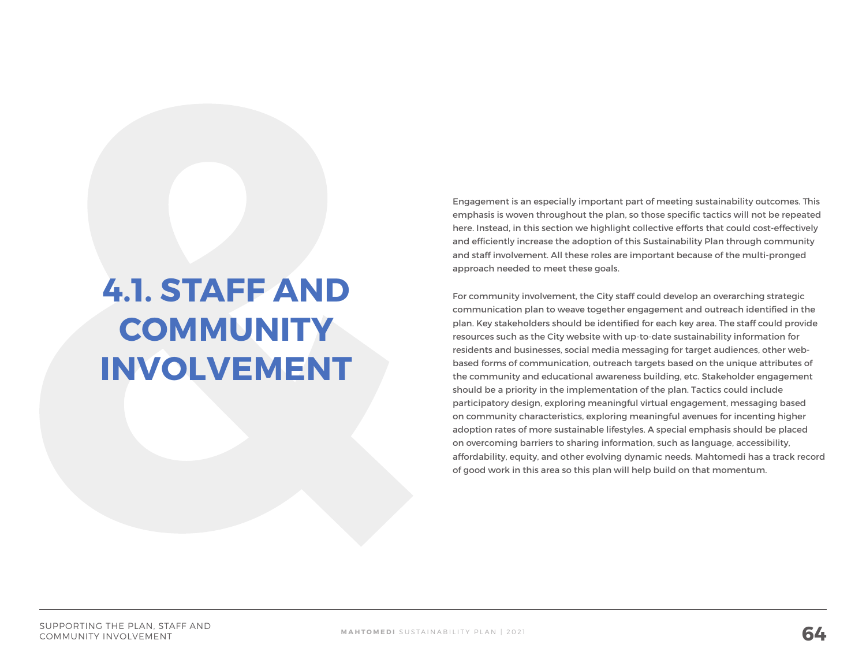## **4.1. STAFF AND COMMUNITY INVOLVEMENT**

Engagement is an especially important part of meeting sustainability outcomes. This emphasis is woven throughout the plan, so those specific tactics will not be repeated here. Instead, in this section we highlight collective efforts that could cost-effectively and efficiently increase the adoption of this Sustainability Plan through community and staff involvement. All these roles are important because of the multi-pronged approach needed to meet these goals.

For community involvement, the City staff could develop an overarching strategic communication plan to weave together engagement and outreach identified in the plan. Key stakeholders should be identified for each key area. The staff could provide resources such as the City website with up-to-date sustainability information for residents and businesses, social media messaging for target audiences, other webbased forms of communication, outreach targets based on the unique attributes of the community and educational awareness building, etc. Stakeholder engagement should be a priority in the implementation of the plan. Tactics could include participatory design, exploring meaningful virtual engagement, messaging based on community characteristics, exploring meaningful avenues for incenting higher adoption rates of more sustainable lifestyles. A special emphasis should be placed on overcoming barriers to sharing information, such as language, accessibility, affordability, equity, and other evolving dynamic needs. Mahtomedi has a track record of good work in this area so this plan will help build on that momentum.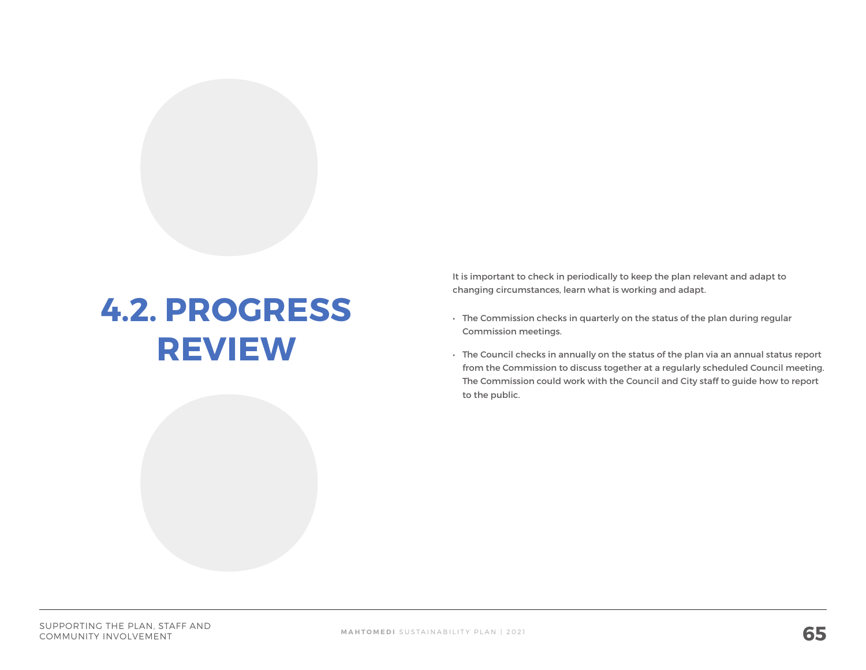## **4.2. PROGRESS REVIEW**

It is important to check in periodically to keep the plan relevant and adapt to changing circumstances, learn what is working and adapt.

- The Commission checks in quarterly on the status of the plan during regular Commission meetings.
- The Council checks in annually on the status of the plan via an annual status report from the Commission to discuss together at a regularly scheduled Council meeting. The Commission could work with the Council and City staff to guide how to report to the public.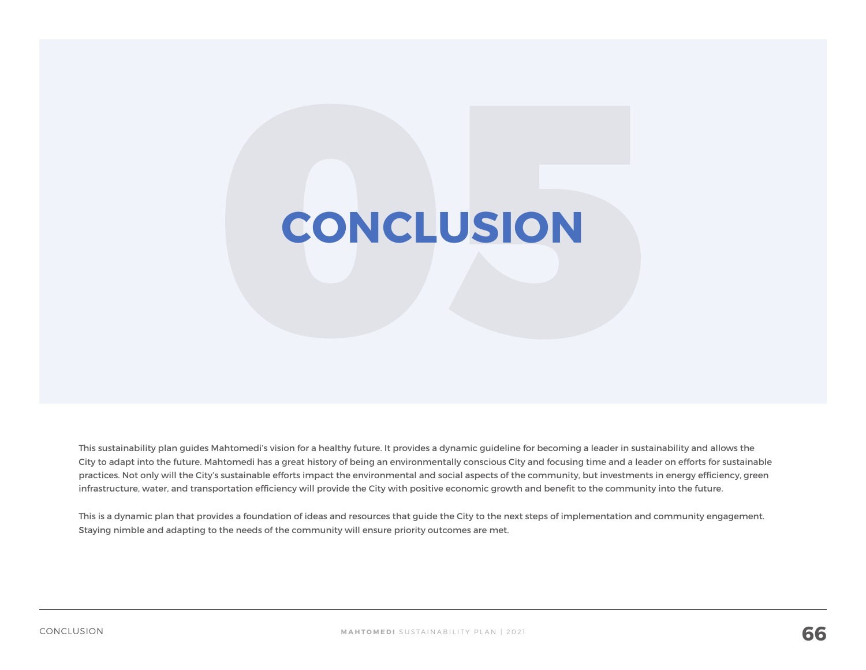# **CONCLUSION**

This sustainability plan guides Mahtomedi's vision for a healthy future. It provides a dynamic guideline for becoming a leader in sustainability and allows the City to adapt into the future. Mahtomedi has a great history of being an environmentally conscious City and focusing time and a leader on efforts for sustainable practices. Not only will the City's sustainable efforts impact the environmental and social aspects of the community, but investments in energy efficiency, green infrastructure, water, and transportation efficiency will provide the City with positive economic growth and benefit to the community into the future.

This is a dynamic plan that provides a foundation of ideas and resources that guide the City to the next steps of implementation and community engagement. Staying nimble and adapting to the needs of the community will ensure priority outcomes are met.